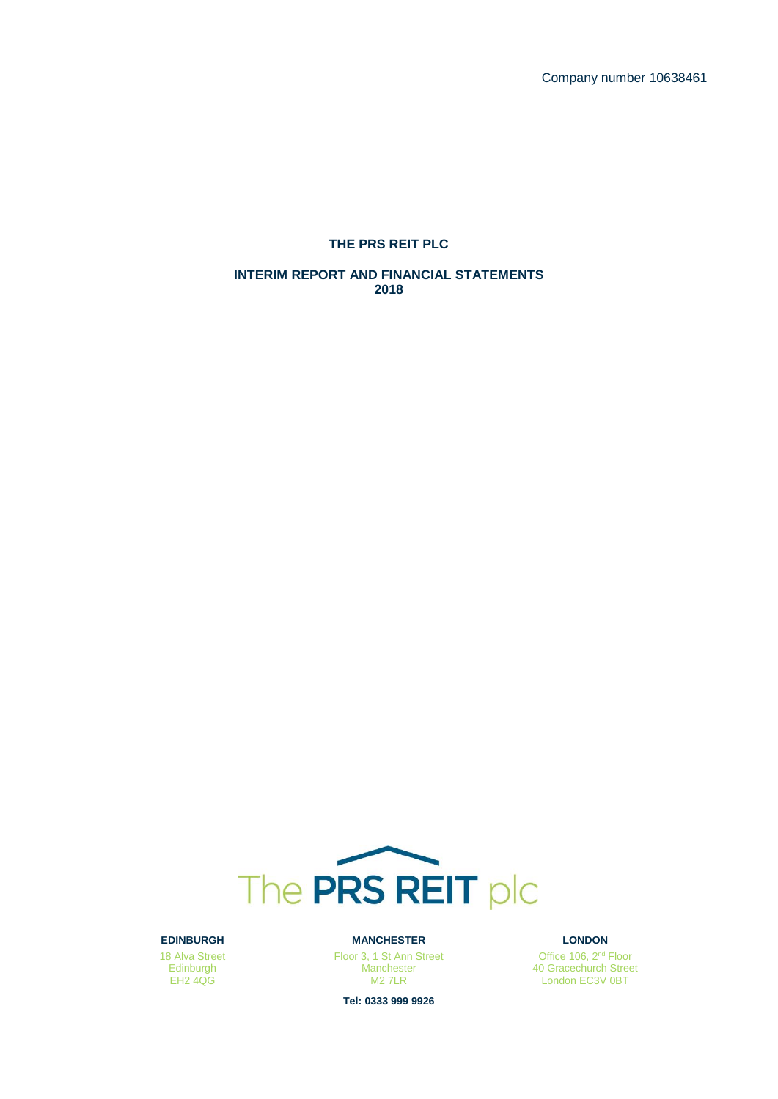Company number 10638461

# **THE PRS REIT PLC**

### **INTERIM REPORT AND FINANCIAL STATEMENTS 2018**



#### **EDINBURGH**

18 Alva Street **Edinburgh** EH<sub>2</sub> 4QG

**MANCHESTER** Floor 3, 1 St Ann Street Manchester M2 7LR

**Tel: 0333 999 9926**

#### **LONDON**

Office 106, 2<sup>nd</sup> Floor 40 Gracechurch Street London EC3V 0BT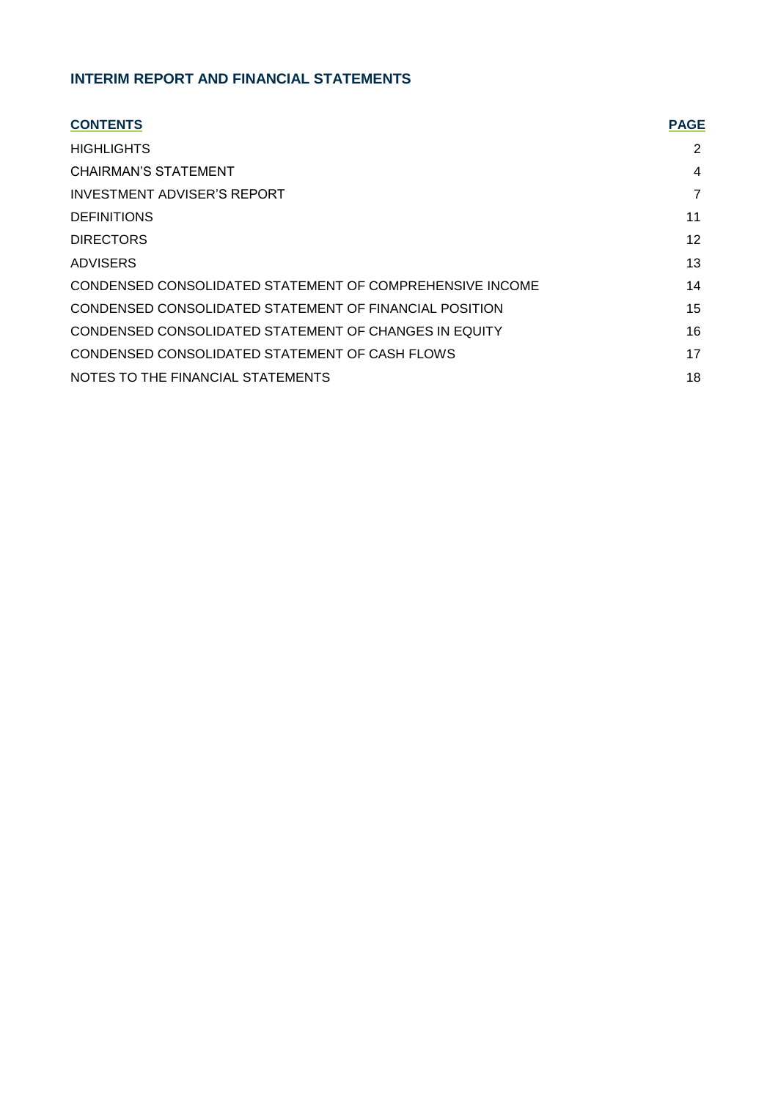# **INTERIM REPORT AND FINANCIAL STATEMENTS**

| <b>CONTENTS</b>                                          | <b>PAGE</b>    |
|----------------------------------------------------------|----------------|
| <b>HIGHLIGHTS</b>                                        | 2              |
| CHAIRMAN'S STATEMENT                                     | 4              |
| INVESTMENT ADVISER'S REPORT                              | $\overline{7}$ |
| <b>DEFINITIONS</b>                                       | 11             |
| <b>DIRECTORS</b>                                         | 12             |
| <b>ADVISERS</b>                                          | 13             |
| CONDENSED CONSOLIDATED STATEMENT OF COMPREHENSIVE INCOME | 14             |
| CONDENSED CONSOLIDATED STATEMENT OF FINANCIAL POSITION   | 15             |
| CONDENSED CONSOLIDATED STATEMENT OF CHANGES IN EQUITY    | 16             |
| CONDENSED CONSOLIDATED STATEMENT OF CASH FLOWS           | 17             |
| NOTES TO THE FINANCIAL STATEMENTS                        | 18             |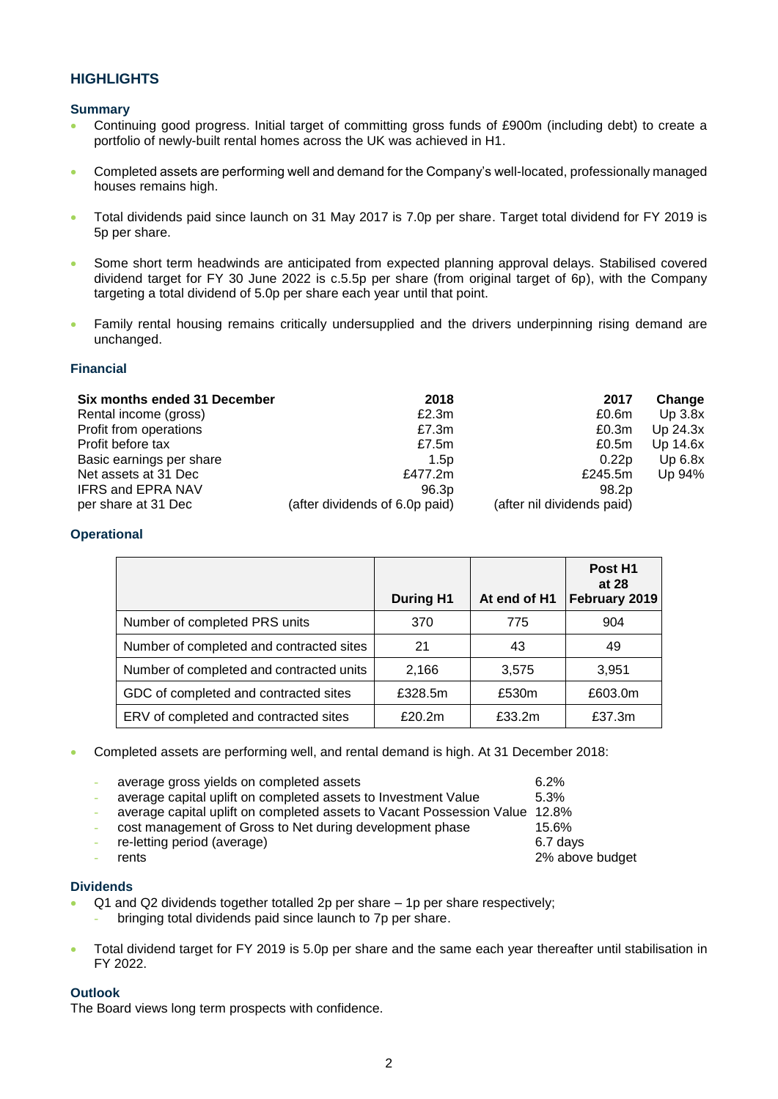# <span id="page-2-0"></span>**HIGHLIGHTS**

### **Summary**

- Continuing good progress. Initial target of committing gross funds of £900m (including debt) to create a portfolio of newly-built rental homes across the UK was achieved in H1.
- Completed assets are performing well and demand for the Company's well-located, professionally managed houses remains high.
- Total dividends paid since launch on 31 May 2017 is 7.0p per share. Target total dividend for FY 2019 is 5p per share.
- Some short term headwinds are anticipated from expected planning approval delays. Stabilised covered dividend target for FY 30 June 2022 is c.5.5p per share (from original target of 6p), with the Company targeting a total dividend of 5.0p per share each year until that point.
- Family rental housing remains critically undersupplied and the drivers underpinning rising demand are unchanged.

# **Financial**

| Six months ended 31 December | 2018                           | 2017                       | Change        |
|------------------------------|--------------------------------|----------------------------|---------------|
| Rental income (gross)        | £2.3m                          | £0.6m                      | $Up$ 3.8 $x$  |
| Profit from operations       | £7.3m                          | £0.3m                      | Up 24.3x      |
| Profit before tax            | £7.5 $m$                       | £0.5m                      | $Up$ 14.6 $x$ |
| Basic earnings per share     | 1.5 <sub>D</sub>               | 0.22p                      | Up 6.8x       |
| Net assets at 31 Dec         | £477.2m                        | £245.5m                    | Up 94%        |
| <b>IFRS and EPRA NAV</b>     | 96.3 <sub>p</sub>              | 98.2 <sub>p</sub>          |               |
| per share at 31 Dec          | (after dividends of 6.0p paid) | (after nil dividends paid) |               |

### **Operational**

|                                          | <b>During H1</b> | At end of H1 | Post H1<br>at 28<br>February 2019 |
|------------------------------------------|------------------|--------------|-----------------------------------|
| Number of completed PRS units            | 370              | 775          | 904                               |
| Number of completed and contracted sites | 21               | 43           | 49                                |
| Number of completed and contracted units | 2.166            | 3.575        | 3,951                             |
| GDC of completed and contracted sites    | £328.5m          | £530m        | £603.0m                           |
| ERV of completed and contracted sites    | £20.2m           | £33.2m       | £37.3m                            |

Completed assets are performing well, and rental demand is high. At 31 December 2018:

| rents | average gross yields on completed assets<br>average capital uplift on completed assets to Investment Value<br>average capital uplift on completed assets to Vacant Possession Value 12.8%<br>cost management of Gross to Net during development phase<br>re-letting period (average) | 6.2%<br>5.3%<br>15.6%<br>6.7 days<br>2% above budget |
|-------|--------------------------------------------------------------------------------------------------------------------------------------------------------------------------------------------------------------------------------------------------------------------------------------|------------------------------------------------------|
|-------|--------------------------------------------------------------------------------------------------------------------------------------------------------------------------------------------------------------------------------------------------------------------------------------|------------------------------------------------------|

### **Dividends**

- Q1 and Q2 dividends together totalled 2p per share 1p per share respectively;
	- bringing total dividends paid since launch to 7p per share.
- Total dividend target for FY 2019 is 5.0p per share and the same each year thereafter until stabilisation in FY 2022.

### **Outlook**

The Board views long term prospects with confidence.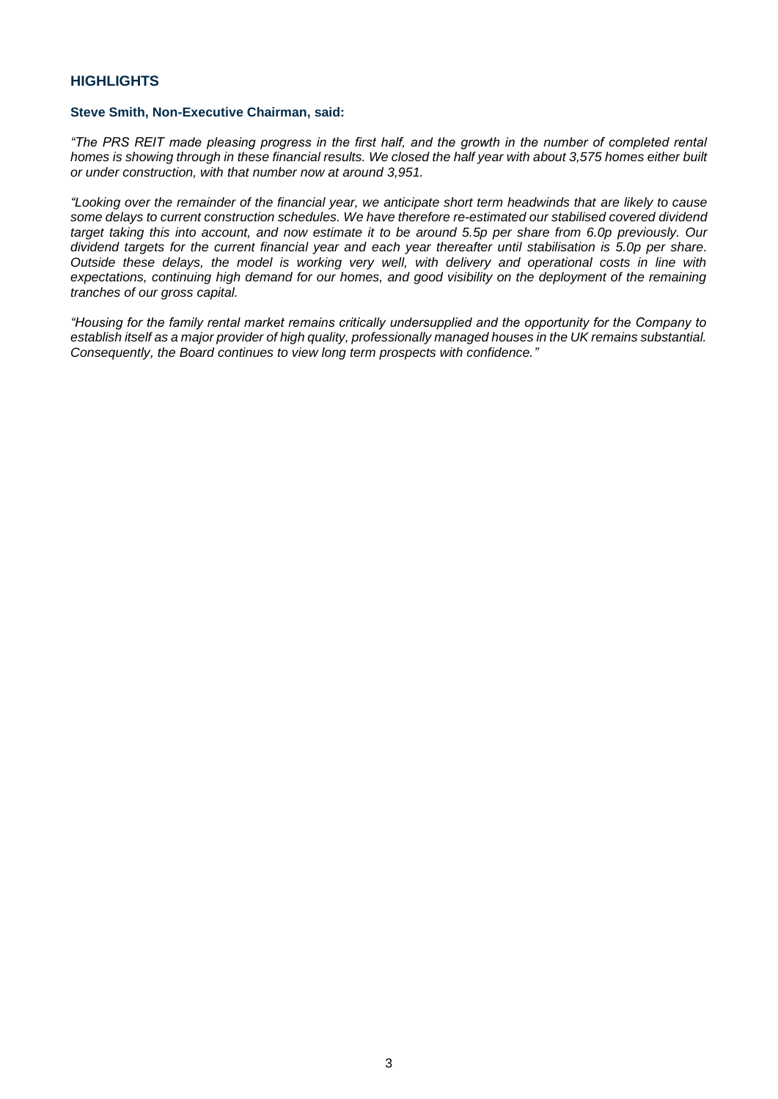# **HIGHLIGHTS**

### **Steve Smith, Non-Executive Chairman, said:**

*"The PRS REIT made pleasing progress in the first half, and the growth in the number of completed rental homes is showing through in these financial results. We closed the half year with about 3,575 homes either built or under construction, with that number now at around 3,951.*

*"Looking over the remainder of the financial year, we anticipate short term headwinds that are likely to cause some delays to current construction schedules. We have therefore re-estimated our stabilised covered dividend target taking this into account, and now estimate it to be around 5.5p per share from 6.0p previously. Our dividend targets for the current financial year and each year thereafter until stabilisation is 5.0p per share. Outside these delays, the model is working very well, with delivery and operational costs in line with expectations, continuing high demand for our homes, and good visibility on the deployment of the remaining tranches of our gross capital.*

*"Housing for the family rental market remains critically undersupplied and the opportunity for the Company to establish itself as a major provider of high quality, professionally managed houses in the UK remains substantial. Consequently, the Board continues to view long term prospects with confidence."*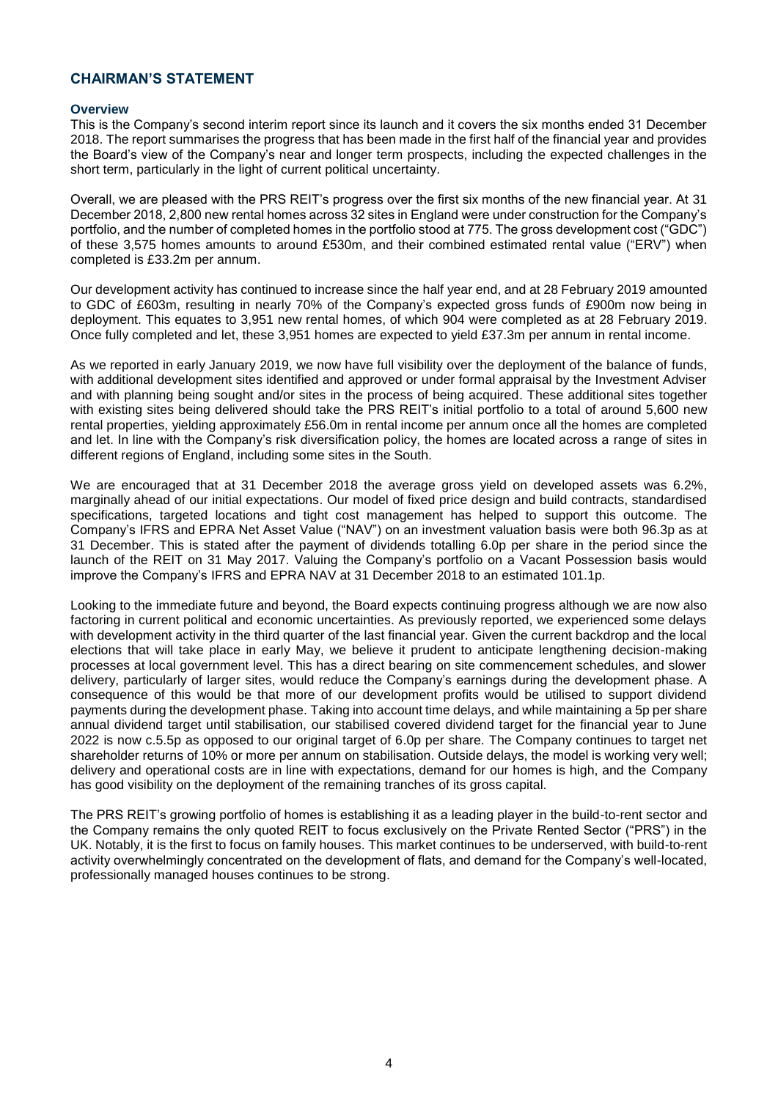# <span id="page-4-0"></span>**CHAIRMAN'S STATEMENT**

#### **Overview**

This is the Company's second interim report since its launch and it covers the six months ended 31 December 2018. The report summarises the progress that has been made in the first half of the financial year and provides the Board's view of the Company's near and longer term prospects, including the expected challenges in the short term, particularly in the light of current political uncertainty.

Overall, we are pleased with the PRS REIT's progress over the first six months of the new financial year. At 31 December 2018, 2,800 new rental homes across 32 sites in England were under construction for the Company's portfolio, and the number of completed homes in the portfolio stood at 775. The gross development cost ("GDC") of these 3,575 homes amounts to around £530m, and their combined estimated rental value ("ERV") when completed is £33.2m per annum.

Our development activity has continued to increase since the half year end, and at 28 February 2019 amounted to GDC of £603m, resulting in nearly 70% of the Company's expected gross funds of £900m now being in deployment. This equates to 3,951 new rental homes, of which 904 were completed as at 28 February 2019. Once fully completed and let, these 3,951 homes are expected to yield £37.3m per annum in rental income.

As we reported in early January 2019, we now have full visibility over the deployment of the balance of funds, with additional development sites identified and approved or under formal appraisal by the Investment Adviser and with planning being sought and/or sites in the process of being acquired. These additional sites together with existing sites being delivered should take the PRS REIT's initial portfolio to a total of around 5,600 new rental properties, yielding approximately £56.0m in rental income per annum once all the homes are completed and let. In line with the Company's risk diversification policy, the homes are located across a range of sites in different regions of England, including some sites in the South.

We are encouraged that at 31 December 2018 the average gross yield on developed assets was 6.2%, marginally ahead of our initial expectations. Our model of fixed price design and build contracts, standardised specifications, targeted locations and tight cost management has helped to support this outcome. The Company's IFRS and EPRA Net Asset Value ("NAV") on an investment valuation basis were both 96.3p as at 31 December. This is stated after the payment of dividends totalling 6.0p per share in the period since the launch of the REIT on 31 May 2017. Valuing the Company's portfolio on a Vacant Possession basis would improve the Company's IFRS and EPRA NAV at 31 December 2018 to an estimated 101.1p.

Looking to the immediate future and beyond, the Board expects continuing progress although we are now also factoring in current political and economic uncertainties. As previously reported, we experienced some delays with development activity in the third quarter of the last financial year. Given the current backdrop and the local elections that will take place in early May, we believe it prudent to anticipate lengthening decision-making processes at local government level. This has a direct bearing on site commencement schedules, and slower delivery, particularly of larger sites, would reduce the Company's earnings during the development phase. A consequence of this would be that more of our development profits would be utilised to support dividend payments during the development phase. Taking into account time delays, and while maintaining a 5p per share annual dividend target until stabilisation, our stabilised covered dividend target for the financial year to June 2022 is now c.5.5p as opposed to our original target of 6.0p per share. The Company continues to target net shareholder returns of 10% or more per annum on stabilisation. Outside delays, the model is working very well; delivery and operational costs are in line with expectations, demand for our homes is high, and the Company has good visibility on the deployment of the remaining tranches of its gross capital.

The PRS REIT's growing portfolio of homes is establishing it as a leading player in the build-to-rent sector and the Company remains the only quoted REIT to focus exclusively on the Private Rented Sector ("PRS") in the UK. Notably, it is the first to focus on family houses. This market continues to be underserved, with build-to-rent activity overwhelmingly concentrated on the development of flats, and demand for the Company's well-located, professionally managed houses continues to be strong.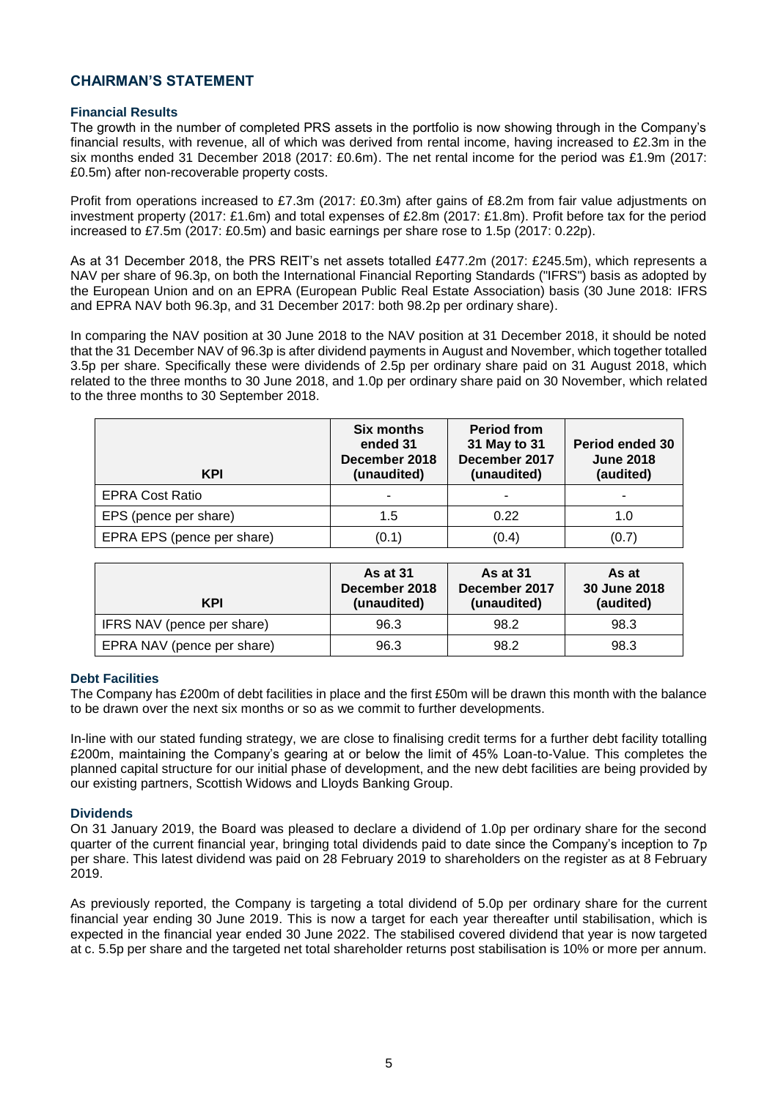# **CHAIRMAN'S STATEMENT**

### **Financial Results**

The growth in the number of completed PRS assets in the portfolio is now showing through in the Company's financial results, with revenue, all of which was derived from rental income, having increased to £2.3m in the six months ended 31 December 2018 (2017: £0.6m). The net rental income for the period was £1.9m (2017: £0.5m) after non-recoverable property costs.

Profit from operations increased to £7.3m (2017: £0.3m) after gains of £8.2m from fair value adjustments on investment property (2017: £1.6m) and total expenses of £2.8m (2017: £1.8m). Profit before tax for the period increased to £7.5m (2017: £0.5m) and basic earnings per share rose to 1.5p (2017: 0.22p).

As at 31 December 2018, the PRS REIT's net assets totalled £477.2m (2017: £245.5m), which represents a NAV per share of 96.3p, on both the International Financial Reporting Standards ("IFRS") basis as adopted by the European Union and on an EPRA (European Public Real Estate Association) basis (30 June 2018: IFRS and EPRA NAV both 96.3p, and 31 December 2017: both 98.2p per ordinary share).

In comparing the NAV position at 30 June 2018 to the NAV position at 31 December 2018, it should be noted that the 31 December NAV of 96.3p is after dividend payments in August and November, which together totalled 3.5p per share. Specifically these were dividends of 2.5p per ordinary share paid on 31 August 2018, which related to the three months to 30 June 2018, and 1.0p per ordinary share paid on 30 November, which related to the three months to 30 September 2018.

| <b>KPI</b>                 | <b>Six months</b><br>ended 31<br>December 2018<br>(unaudited) | <b>Period from</b><br>31 May to 31<br>December 2017<br>(unaudited) | <b>Period ended 30</b><br><b>June 2018</b><br>(audited) |
|----------------------------|---------------------------------------------------------------|--------------------------------------------------------------------|---------------------------------------------------------|
| <b>EPRA Cost Ratio</b>     |                                                               |                                                                    |                                                         |
| EPS (pence per share)      | 1.5                                                           | 0.22                                                               | 1.0                                                     |
| EPRA EPS (pence per share) | (0.1)                                                         | (0.4)                                                              | (0.7                                                    |

| <b>KPI</b>                 | <b>As at 31</b><br>December 2018<br>(unaudited) | <b>As at 31</b><br>December 2017<br>(unaudited) | As at<br>30 June 2018<br>(audited) |
|----------------------------|-------------------------------------------------|-------------------------------------------------|------------------------------------|
| IFRS NAV (pence per share) | 96.3                                            | 98.2                                            | 98.3                               |
| EPRA NAV (pence per share) | 96.3                                            | 98.2                                            | 98.3                               |

### **Debt Facilities**

The Company has £200m of debt facilities in place and the first £50m will be drawn this month with the balance to be drawn over the next six months or so as we commit to further developments.

In-line with our stated funding strategy, we are close to finalising credit terms for a further debt facility totalling £200m, maintaining the Company's gearing at or below the limit of 45% Loan-to-Value. This completes the planned capital structure for our initial phase of development, and the new debt facilities are being provided by our existing partners, Scottish Widows and Lloyds Banking Group.

### **Dividends**

On 31 January 2019, the Board was pleased to declare a dividend of 1.0p per ordinary share for the second quarter of the current financial year, bringing total dividends paid to date since the Company's inception to 7p per share. This latest dividend was paid on 28 February 2019 to shareholders on the register as at 8 February 2019.

As previously reported, the Company is targeting a total dividend of 5.0p per ordinary share for the current financial year ending 30 June 2019. This is now a target for each year thereafter until stabilisation, which is expected in the financial year ended 30 June 2022. The stabilised covered dividend that year is now targeted at c. 5.5p per share and the targeted net total shareholder returns post stabilisation is 10% or more per annum.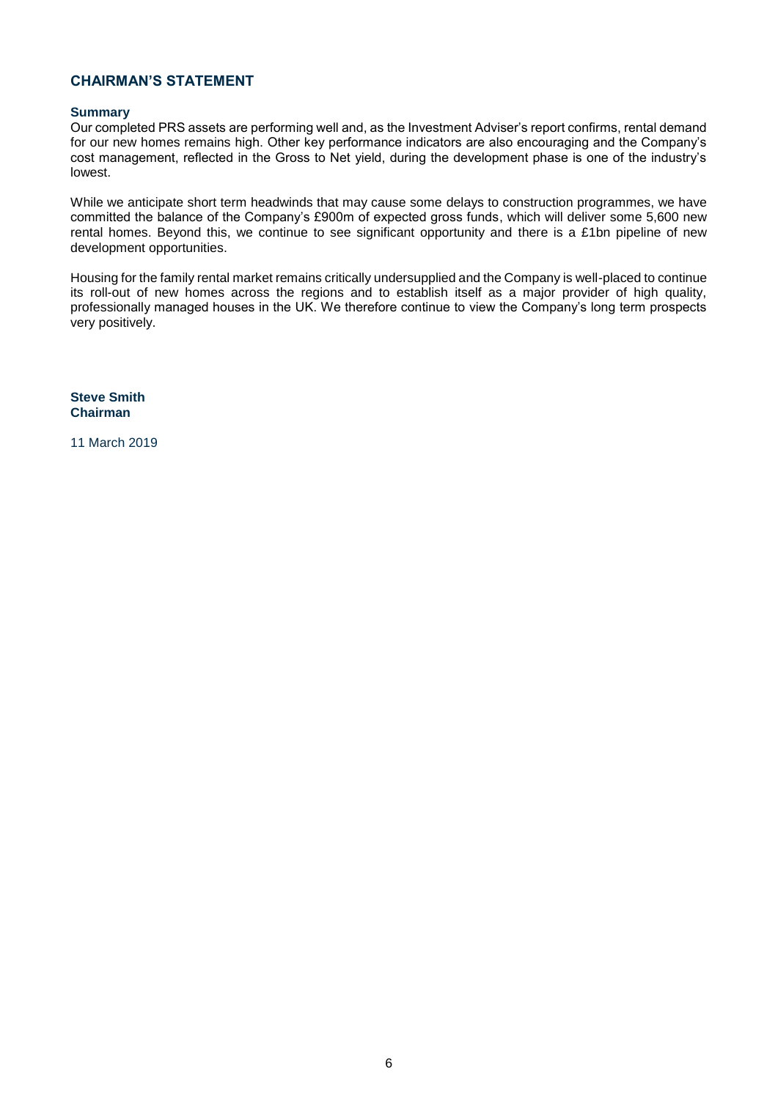# **CHAIRMAN'S STATEMENT**

### **Summary**

Our completed PRS assets are performing well and, as the Investment Adviser's report confirms, rental demand for our new homes remains high. Other key performance indicators are also encouraging and the Company's cost management, reflected in the Gross to Net yield, during the development phase is one of the industry's lowest.

While we anticipate short term headwinds that may cause some delays to construction programmes, we have committed the balance of the Company's £900m of expected gross funds, which will deliver some 5,600 new rental homes. Beyond this, we continue to see significant opportunity and there is a £1bn pipeline of new development opportunities.

Housing for the family rental market remains critically undersupplied and the Company is well-placed to continue its roll-out of new homes across the regions and to establish itself as a major provider of high quality, professionally managed houses in the UK. We therefore continue to view the Company's long term prospects very positively.

**Steve Smith Chairman**

11 March 2019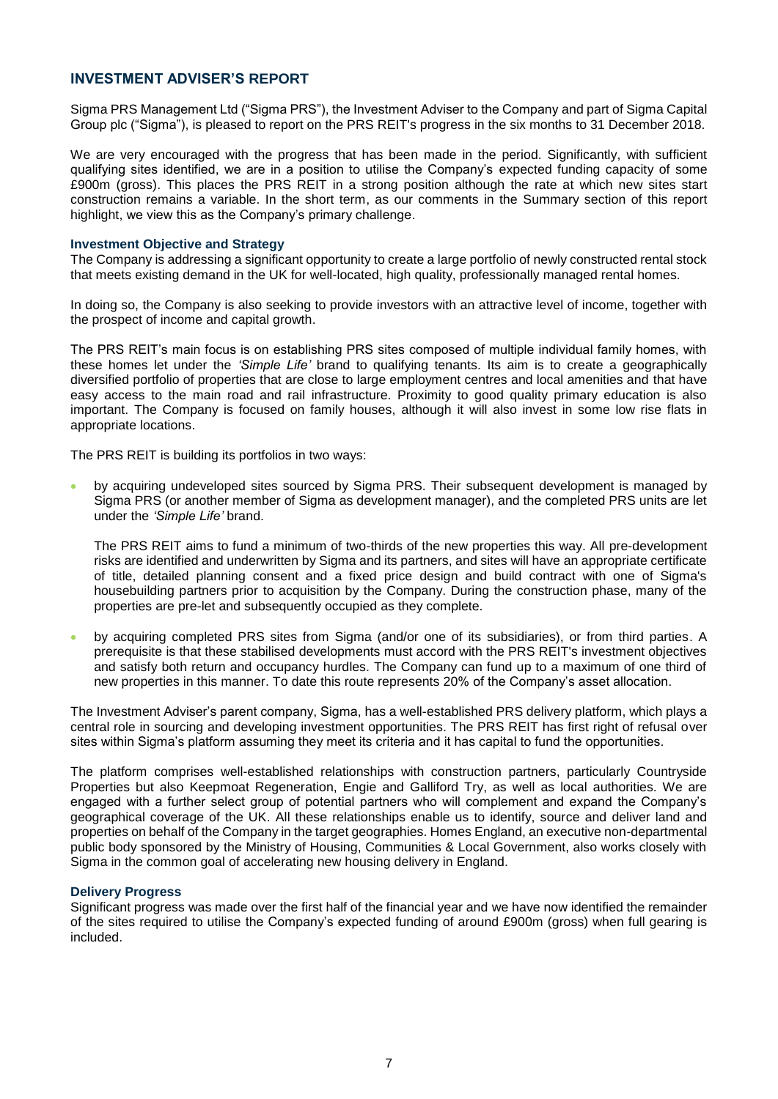<span id="page-7-0"></span>Sigma PRS Management Ltd ("Sigma PRS"), the Investment Adviser to the Company and part of Sigma Capital Group plc ("Sigma"), is pleased to report on the PRS REIT's progress in the six months to 31 December 2018.

We are very encouraged with the progress that has been made in the period. Significantly, with sufficient qualifying sites identified, we are in a position to utilise the Company's expected funding capacity of some £900m (gross). This places the PRS REIT in a strong position although the rate at which new sites start construction remains a variable. In the short term, as our comments in the Summary section of this report highlight, we view this as the Company's primary challenge.

#### **Investment Objective and Strategy**

The Company is addressing a significant opportunity to create a large portfolio of newly constructed rental stock that meets existing demand in the UK for well-located, high quality, professionally managed rental homes.

In doing so, the Company is also seeking to provide investors with an attractive level of income, together with the prospect of income and capital growth.

The PRS REIT's main focus is on establishing PRS sites composed of multiple individual family homes, with these homes let under the *'Simple Life'* brand to qualifying tenants. Its aim is to create a geographically diversified portfolio of properties that are close to large employment centres and local amenities and that have easy access to the main road and rail infrastructure. Proximity to good quality primary education is also important. The Company is focused on family houses, although it will also invest in some low rise flats in appropriate locations.

The PRS REIT is building its portfolios in two ways:

 by acquiring undeveloped sites sourced by Sigma PRS. Their subsequent development is managed by Sigma PRS (or another member of Sigma as development manager), and the completed PRS units are let under the *'Simple Life'* brand.

The PRS REIT aims to fund a minimum of two-thirds of the new properties this way. All pre-development risks are identified and underwritten by Sigma and its partners, and sites will have an appropriate certificate of title, detailed planning consent and a fixed price design and build contract with one of Sigma's housebuilding partners prior to acquisition by the Company. During the construction phase, many of the properties are pre-let and subsequently occupied as they complete.

 by acquiring completed PRS sites from Sigma (and/or one of its subsidiaries), or from third parties. A prerequisite is that these stabilised developments must accord with the PRS REIT's investment objectives and satisfy both return and occupancy hurdles. The Company can fund up to a maximum of one third of new properties in this manner. To date this route represents 20% of the Company's asset allocation.

The Investment Adviser's parent company, Sigma, has a well-established PRS delivery platform, which plays a central role in sourcing and developing investment opportunities. The PRS REIT has first right of refusal over sites within Sigma's platform assuming they meet its criteria and it has capital to fund the opportunities.

The platform comprises well-established relationships with construction partners, particularly Countryside Properties but also Keepmoat Regeneration, Engie and Galliford Try, as well as local authorities. We are engaged with a further select group of potential partners who will complement and expand the Company's geographical coverage of the UK. All these relationships enable us to identify, source and deliver land and properties on behalf of the Company in the target geographies. Homes England, an executive non-departmental public body sponsored by the Ministry of Housing, Communities & Local Government, also works closely with Sigma in the common goal of accelerating new housing delivery in England.

### **Delivery Progress**

Significant progress was made over the first half of the financial year and we have now identified the remainder of the sites required to utilise the Company's expected funding of around £900m (gross) when full gearing is included.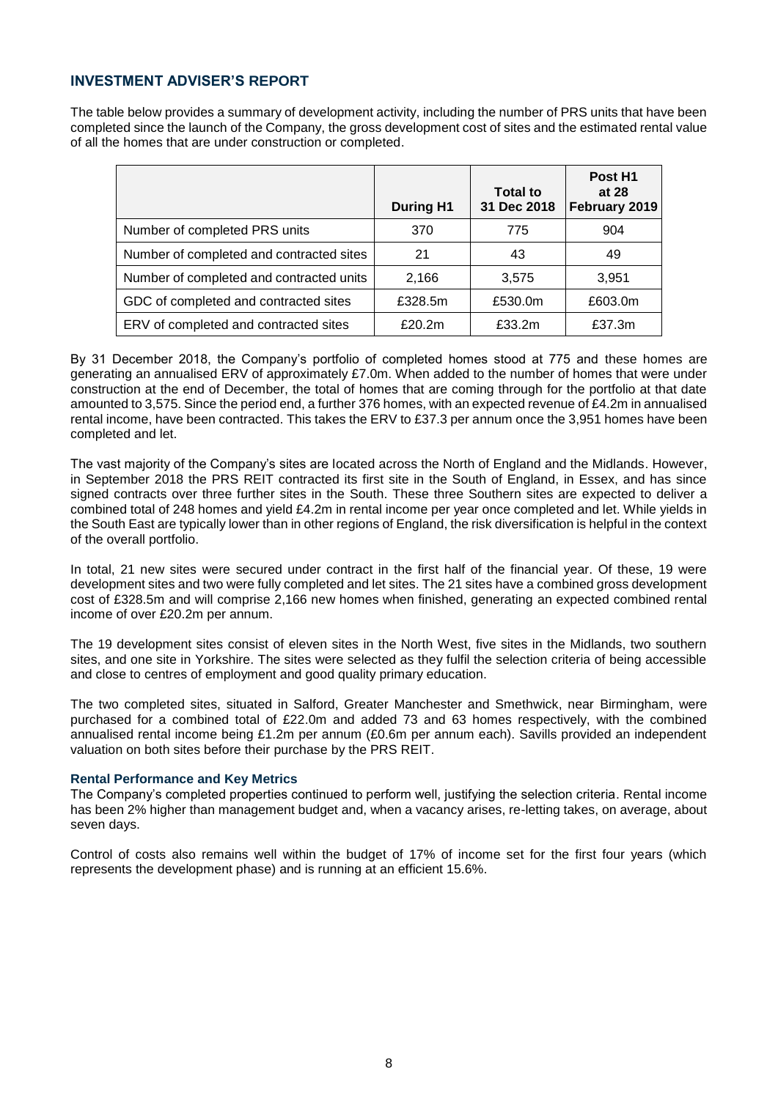The table below provides a summary of development activity, including the number of PRS units that have been completed since the launch of the Company, the gross development cost of sites and the estimated rental value of all the homes that are under construction or completed.

|                                          | <b>During H1</b> | <b>Total to</b><br>31 Dec 2018 | Post H <sub>1</sub><br>at 28<br>February 2019 |
|------------------------------------------|------------------|--------------------------------|-----------------------------------------------|
| Number of completed PRS units            | 370              | 775                            | 904                                           |
| Number of completed and contracted sites | 21               | 43                             | 49                                            |
| Number of completed and contracted units | 2,166            | 3.575                          | 3,951                                         |
| GDC of completed and contracted sites    | £328.5m          | £530.0m                        | £603.0m                                       |
| ERV of completed and contracted sites    | £20.2m           | £33.2m                         | £37.3m                                        |

By 31 December 2018, the Company's portfolio of completed homes stood at 775 and these homes are generating an annualised ERV of approximately £7.0m. When added to the number of homes that were under construction at the end of December, the total of homes that are coming through for the portfolio at that date amounted to 3,575. Since the period end, a further 376 homes, with an expected revenue of £4.2m in annualised rental income, have been contracted. This takes the ERV to £37.3 per annum once the 3,951 homes have been completed and let.

The vast majority of the Company's sites are located across the North of England and the Midlands. However, in September 2018 the PRS REIT contracted its first site in the South of England, in Essex, and has since signed contracts over three further sites in the South. These three Southern sites are expected to deliver a combined total of 248 homes and yield £4.2m in rental income per year once completed and let. While yields in the South East are typically lower than in other regions of England, the risk diversification is helpful in the context of the overall portfolio.

In total, 21 new sites were secured under contract in the first half of the financial year. Of these, 19 were development sites and two were fully completed and let sites. The 21 sites have a combined gross development cost of £328.5m and will comprise 2,166 new homes when finished, generating an expected combined rental income of over £20.2m per annum.

The 19 development sites consist of eleven sites in the North West, five sites in the Midlands, two southern sites, and one site in Yorkshire. The sites were selected as they fulfil the selection criteria of being accessible and close to centres of employment and good quality primary education.

The two completed sites, situated in Salford, Greater Manchester and Smethwick, near Birmingham, were purchased for a combined total of £22.0m and added 73 and 63 homes respectively, with the combined annualised rental income being £1.2m per annum (£0.6m per annum each). Savills provided an independent valuation on both sites before their purchase by the PRS REIT.

### **Rental Performance and Key Metrics**

The Company's completed properties continued to perform well, justifying the selection criteria. Rental income has been 2% higher than management budget and, when a vacancy arises, re-letting takes, on average, about seven days.

Control of costs also remains well within the budget of 17% of income set for the first four years (which represents the development phase) and is running at an efficient 15.6%.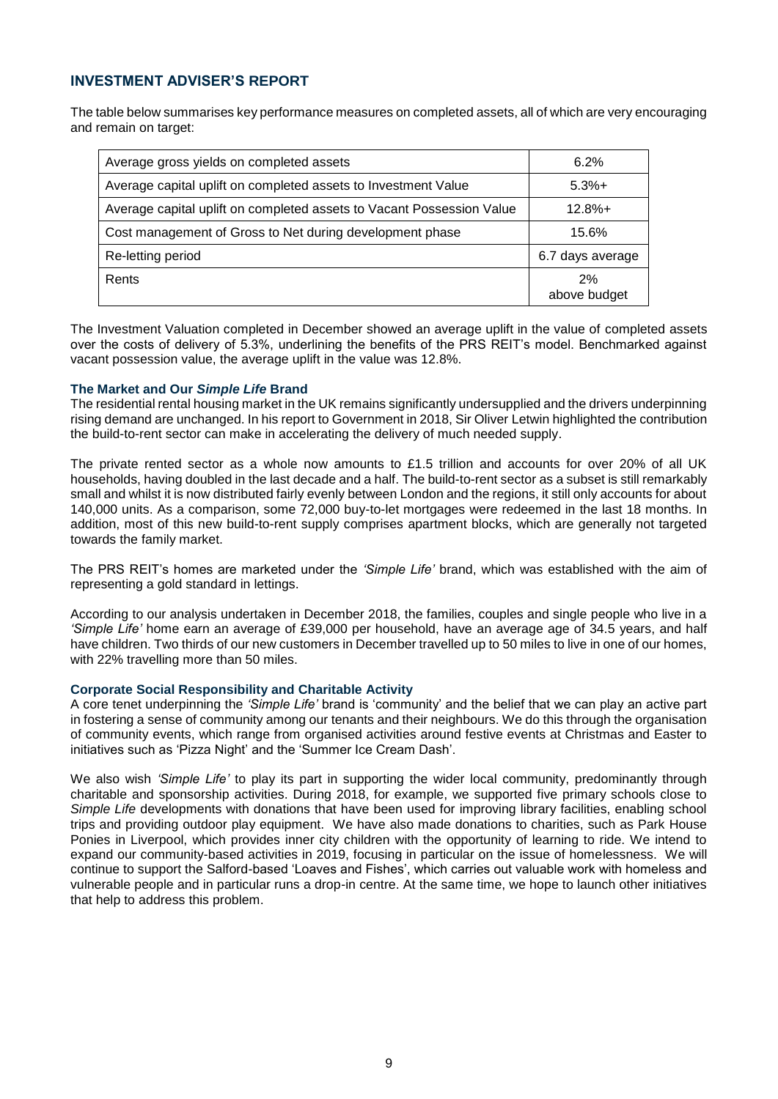The table below summarises key performance measures on completed assets, all of which are very encouraging and remain on target:

| Average gross yields on completed assets                              | 6.2%               |
|-----------------------------------------------------------------------|--------------------|
| Average capital uplift on completed assets to Investment Value        | $5.3%+$            |
| Average capital uplift on completed assets to Vacant Possession Value | $12.8%+$           |
| Cost management of Gross to Net during development phase              | 15.6%              |
| Re-letting period                                                     | 6.7 days average   |
| Rents                                                                 | 2%<br>above budget |

The Investment Valuation completed in December showed an average uplift in the value of completed assets over the costs of delivery of 5.3%, underlining the benefits of the PRS REIT's model. Benchmarked against vacant possession value, the average uplift in the value was 12.8%.

### **The Market and Our** *Simple Life* **Brand**

The residential rental housing market in the UK remains significantly undersupplied and the drivers underpinning rising demand are unchanged. In his report to Government in 2018, Sir Oliver Letwin highlighted the contribution the build-to-rent sector can make in accelerating the delivery of much needed supply.

The private rented sector as a whole now amounts to £1.5 trillion and accounts for over 20% of all UK households, having doubled in the last decade and a half. The build-to-rent sector as a subset is still remarkably small and whilst it is now distributed fairly evenly between London and the regions, it still only accounts for about 140,000 units. As a comparison, some 72,000 buy-to-let mortgages were redeemed in the last 18 months. In addition, most of this new build-to-rent supply comprises apartment blocks, which are generally not targeted towards the family market.

The PRS REIT's homes are marketed under the *'Simple Life'* brand, which was established with the aim of representing a gold standard in lettings.

According to our analysis undertaken in December 2018, the families, couples and single people who live in a *'Simple Life'* home earn an average of £39,000 per household, have an average age of 34.5 years, and half have children. Two thirds of our new customers in December travelled up to 50 miles to live in one of our homes, with 22% travelling more than 50 miles.

### **Corporate Social Responsibility and Charitable Activity**

A core tenet underpinning the *'Simple Life'* brand is 'community' and the belief that we can play an active part in fostering a sense of community among our tenants and their neighbours. We do this through the organisation of community events, which range from organised activities around festive events at Christmas and Easter to initiatives such as 'Pizza Night' and the 'Summer Ice Cream Dash'.

We also wish *'Simple Life'* to play its part in supporting the wider local community, predominantly through charitable and sponsorship activities. During 2018, for example, we supported five primary schools close to *Simple Life* developments with donations that have been used for improving library facilities, enabling school trips and providing outdoor play equipment. We have also made donations to charities, such as Park House Ponies in Liverpool, which provides inner city children with the opportunity of learning to ride. We intend to expand our community-based activities in 2019, focusing in particular on the issue of homelessness. We will continue to support the Salford-based 'Loaves and Fishes', which carries out valuable work with homeless and vulnerable people and in particular runs a drop-in centre. At the same time, we hope to launch other initiatives that help to address this problem.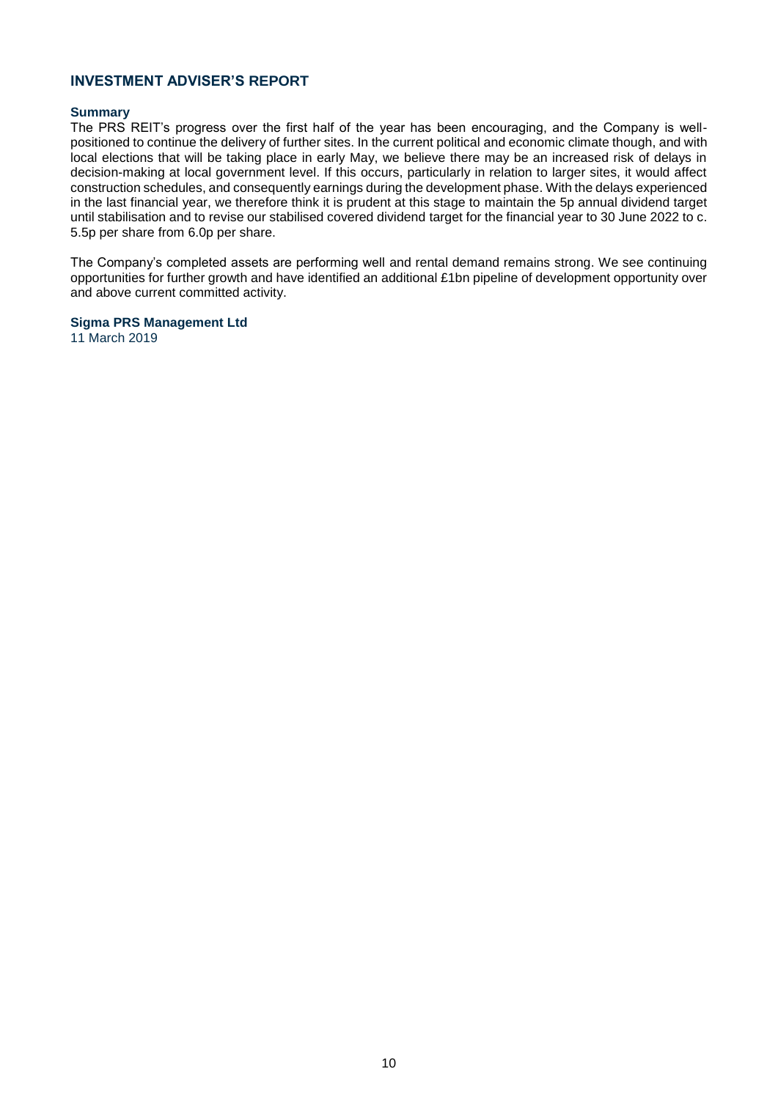### **Summary**

The PRS REIT's progress over the first half of the year has been encouraging, and the Company is wellpositioned to continue the delivery of further sites. In the current political and economic climate though, and with local elections that will be taking place in early May, we believe there may be an increased risk of delays in decision-making at local government level. If this occurs, particularly in relation to larger sites, it would affect construction schedules, and consequently earnings during the development phase. With the delays experienced in the last financial year, we therefore think it is prudent at this stage to maintain the 5p annual dividend target until stabilisation and to revise our stabilised covered dividend target for the financial year to 30 June 2022 to c. 5.5p per share from 6.0p per share.

The Company's completed assets are performing well and rental demand remains strong. We see continuing opportunities for further growth and have identified an additional £1bn pipeline of development opportunity over and above current committed activity.

**Sigma PRS Management Ltd** 11 March 2019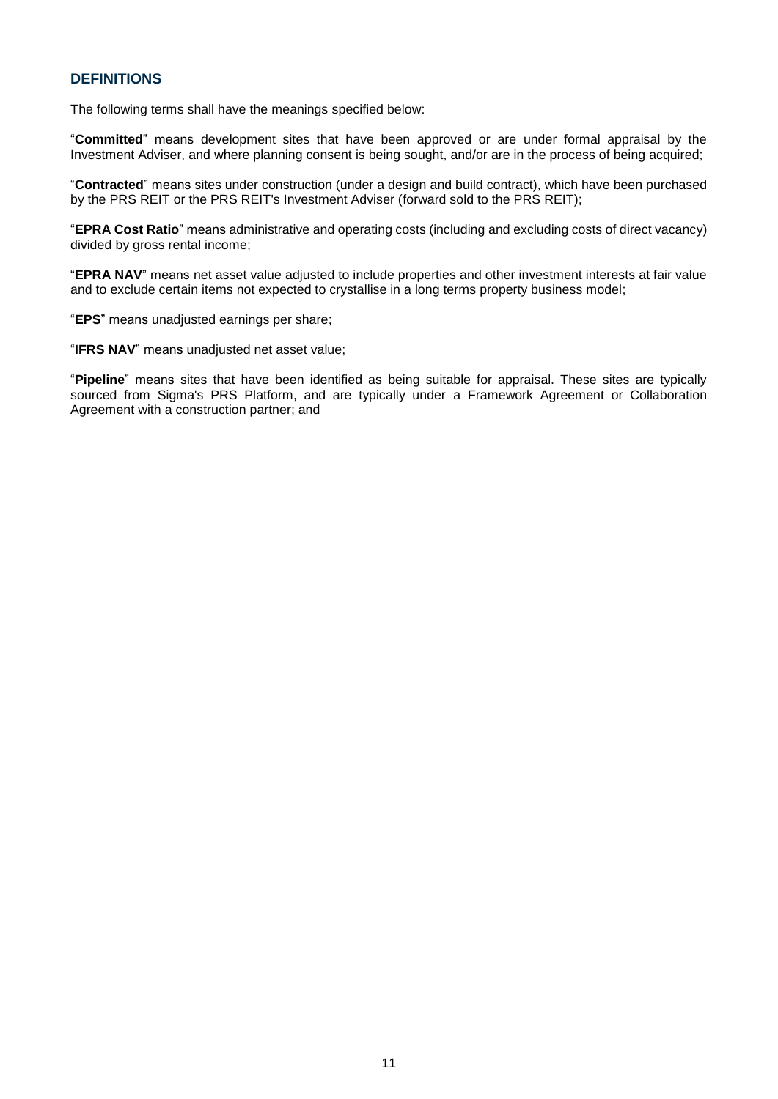# <span id="page-11-0"></span>**DEFINITIONS**

The following terms shall have the meanings specified below:

"**Committed**" means development sites that have been approved or are under formal appraisal by the Investment Adviser, and where planning consent is being sought, and/or are in the process of being acquired;

"**Contracted**" means sites under construction (under a design and build contract), which have been purchased by the PRS REIT or the PRS REIT's Investment Adviser (forward sold to the PRS REIT);

"**EPRA Cost Ratio**" means administrative and operating costs (including and excluding costs of direct vacancy) divided by gross rental income;

"**EPRA NAV**" means net asset value adjusted to include properties and other investment interests at fair value and to exclude certain items not expected to crystallise in a long terms property business model;

"**EPS**" means unadjusted earnings per share;

"**IFRS NAV**" means unadjusted net asset value;

"**Pipeline**" means sites that have been identified as being suitable for appraisal. These sites are typically sourced from Sigma's PRS Platform, and are typically under a Framework Agreement or Collaboration Agreement with a construction partner; and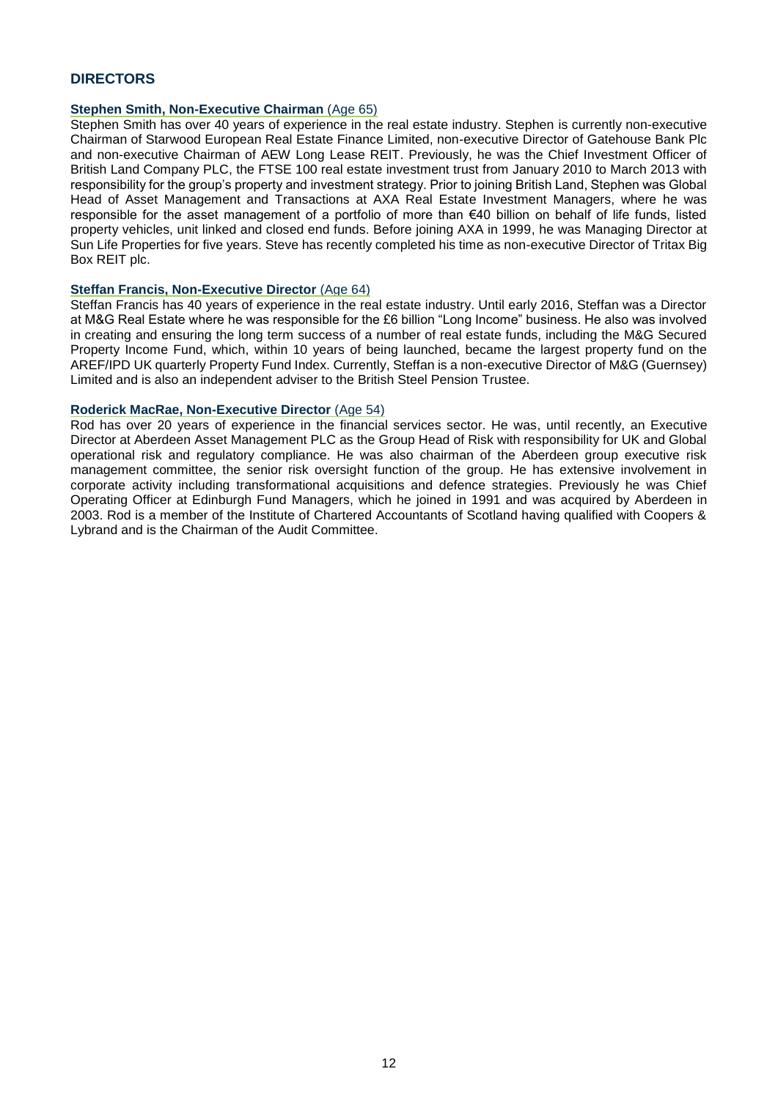# <span id="page-12-0"></span>**DIRECTORS**

### **Stephen Smith, Non-Executive Chairman (Age 65)**

Stephen Smith has over 40 years of experience in the real estate industry. Stephen is currently non-executive Chairman of Starwood European Real Estate Finance Limited, non-executive Director of Gatehouse Bank Plc and non-executive Chairman of AEW Long Lease REIT. Previously, he was the Chief Investment Officer of British Land Company PLC, the FTSE 100 real estate investment trust from January 2010 to March 2013 with responsibility for the group's property and investment strategy. Prior to joining British Land, Stephen was Global Head of Asset Management and Transactions at AXA Real Estate Investment Managers, where he was responsible for the asset management of a portfolio of more than €40 billion on behalf of life funds, listed property vehicles, unit linked and closed end funds. Before joining AXA in 1999, he was Managing Director at Sun Life Properties for five years. Steve has recently completed his time as non-executive Director of Tritax Big Box REIT plc.

### **Steffan Francis, Non-Executive Director** (Age 64)

Steffan Francis has 40 years of experience in the real estate industry. Until early 2016, Steffan was a Director at M&G Real Estate where he was responsible for the £6 billion "Long Income" business. He also was involved in creating and ensuring the long term success of a number of real estate funds, including the M&G Secured Property Income Fund, which, within 10 years of being launched, became the largest property fund on the AREF/IPD UK quarterly Property Fund Index. Currently, Steffan is a non-executive Director of M&G (Guernsey) Limited and is also an independent adviser to the British Steel Pension Trustee.

### **Roderick MacRae, Non-Executive Director** (Age 54)

Rod has over 20 years of experience in the financial services sector. He was, until recently, an Executive Director at Aberdeen Asset Management PLC as the Group Head of Risk with responsibility for UK and Global operational risk and regulatory compliance. He was also chairman of the Aberdeen group executive risk management committee, the senior risk oversight function of the group. He has extensive involvement in corporate activity including transformational acquisitions and defence strategies. Previously he was Chief Operating Officer at Edinburgh Fund Managers, which he joined in 1991 and was acquired by Aberdeen in 2003. Rod is a member of the Institute of Chartered Accountants of Scotland having qualified with Coopers & Lybrand and is the Chairman of the Audit Committee.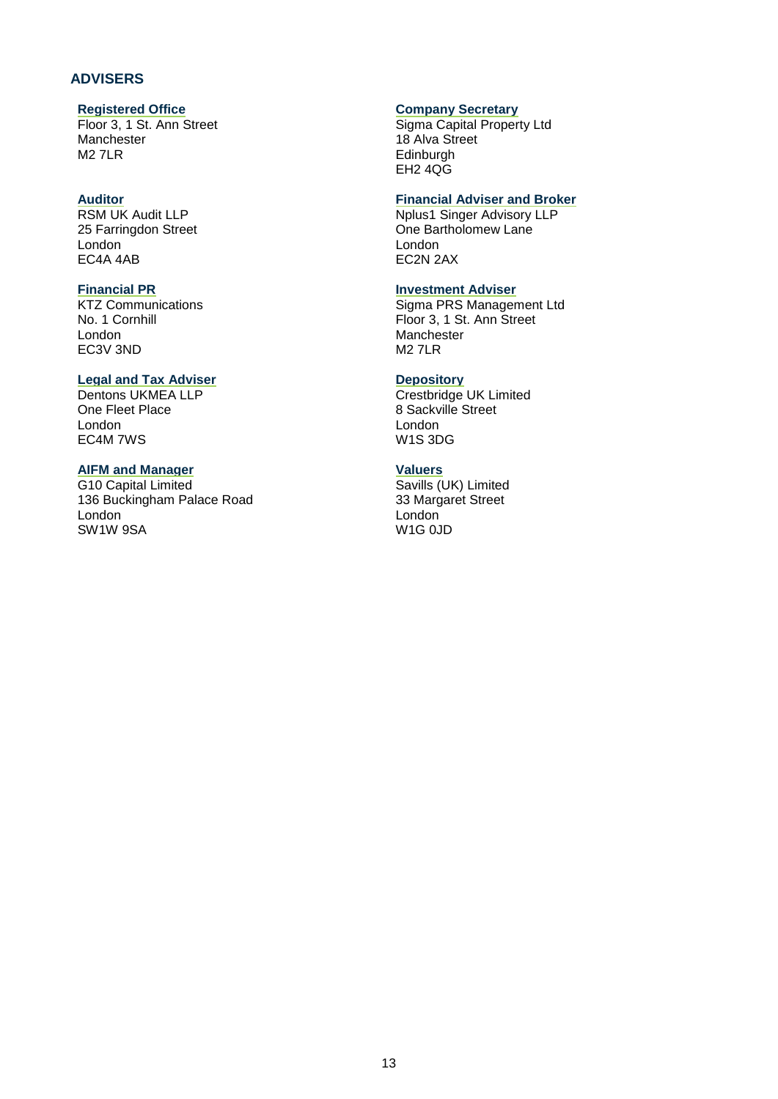# <span id="page-13-0"></span>**ADVISERS**

# **Registered Office**

Floor 3, 1 St. Ann Street **Manchester** M<sub>2</sub> 7LR

### **Auditor**

RSM UK Audit LLP 25 Farringdon Street London EC4A 4AB

### **Financial PR**

KTZ Communications No. 1 Cornhill London EC3V 3ND

### **Legal and Tax Adviser**

Dentons UKMEA LLP One Fleet Place London EC4M 7WS

# **AIFM and Manager**

G10 Capital Limited 136 Buckingham Palace Road London SW1W 9SA

### **Company Secretary**

Sigma Capital Property Ltd 18 Alva Street **Edinburgh** EH2 4QG

# **Financial Adviser and Broker**

Nplus1 Singer Advisory LLP One Bartholomew Lane London EC2N 2AX

### **Investment Adviser**

Sigma PRS Management Ltd Floor 3, 1 St. Ann Street Manchester M2 7LR

### **Depository**

Crestbridge UK Limited 8 Sackville Street London W1S 3DG

# **Valuers**

Savills (UK) Limited 33 Margaret Street London W1G 0JD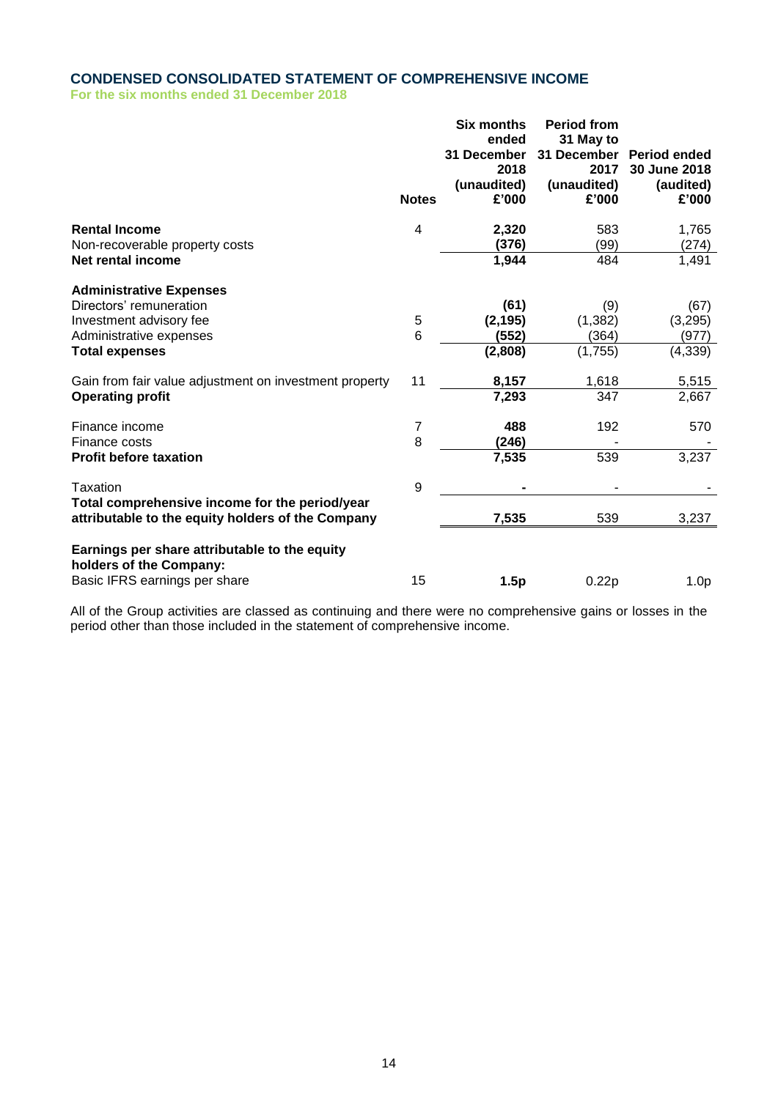### <span id="page-14-0"></span>**CONDENSED CONSOLIDATED STATEMENT OF COMPREHENSIVE INCOME**

**For the six months ended 31 December 2018**

|                                                                                                                                          | <b>Notes</b> | <b>Six months</b><br>ended<br>31 December<br>2018<br>(unaudited)<br>£'000 | <b>Period from</b><br>31 May to<br>31 December<br>2017<br>(unaudited)<br>£'000 | <b>Period ended</b><br>30 June 2018<br>(audited)<br>£'000 |
|------------------------------------------------------------------------------------------------------------------------------------------|--------------|---------------------------------------------------------------------------|--------------------------------------------------------------------------------|-----------------------------------------------------------|
| <b>Rental Income</b>                                                                                                                     | 4            | 2,320                                                                     | 583                                                                            | 1,765                                                     |
| Non-recoverable property costs<br>Net rental income                                                                                      |              | (376)<br>1,944                                                            | (99)<br>484                                                                    | (274)<br>1,491                                            |
| <b>Administrative Expenses</b><br>Directors' remuneration<br>Investment advisory fee<br>Administrative expenses<br><b>Total expenses</b> | 5<br>6       | (61)<br>(2, 195)<br>(552)<br>(2,808)                                      | (9)<br>(1, 382)<br>(364)<br>(1,755)                                            | (67)<br>(3,295)<br>(977)<br>(4, 339)                      |
| Gain from fair value adjustment on investment property                                                                                   | 11           | 8,157                                                                     | 1,618                                                                          | 5,515                                                     |
| <b>Operating profit</b>                                                                                                                  |              | 7,293                                                                     | 347                                                                            | 2,667                                                     |
| Finance income<br>Finance costs                                                                                                          | 7<br>8       | 488<br>(246)                                                              | 192                                                                            | 570                                                       |
| <b>Profit before taxation</b>                                                                                                            |              | 7,535                                                                     | 539                                                                            | 3,237                                                     |
| Taxation<br>Total comprehensive income for the period/year                                                                               | 9            |                                                                           |                                                                                |                                                           |
| attributable to the equity holders of the Company                                                                                        |              | 7,535                                                                     | 539                                                                            | 3,237                                                     |
| Earnings per share attributable to the equity<br>holders of the Company:<br>Basic IFRS earnings per share                                | 15           | 1.5p                                                                      | 0.22p                                                                          | 1.0 <sub>p</sub>                                          |

All of the Group activities are classed as continuing and there were no comprehensive gains or losses in the period other than those included in the statement of comprehensive income.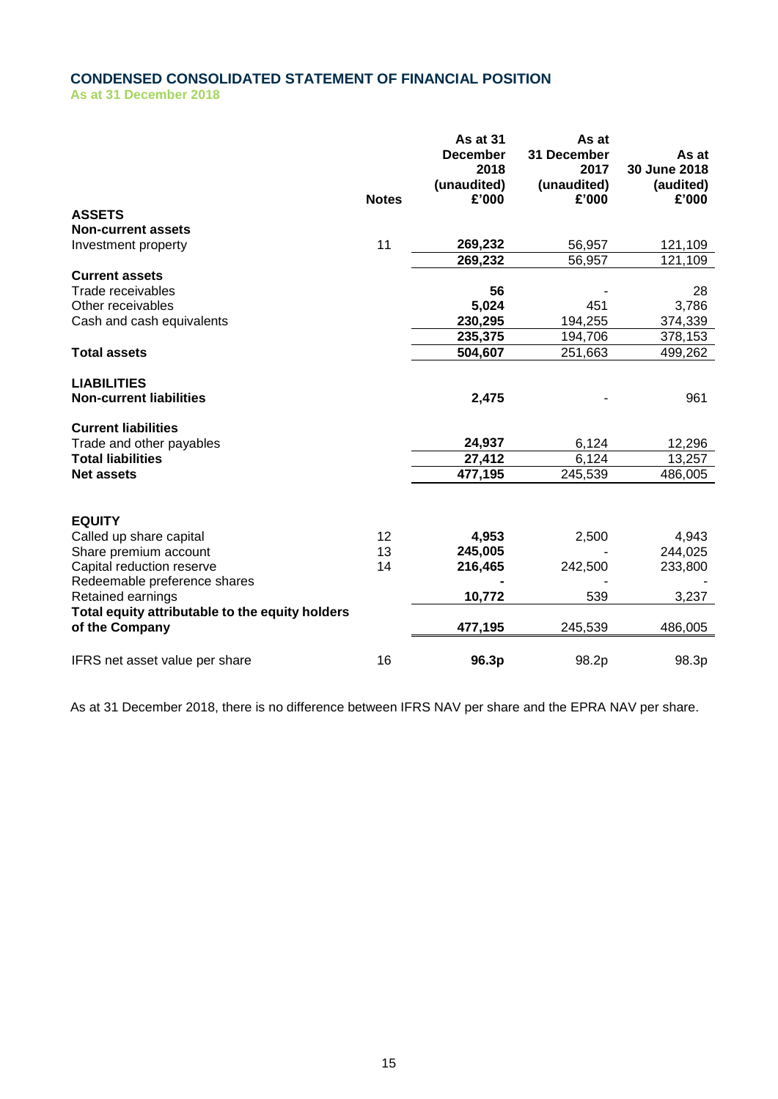### <span id="page-15-0"></span>**CONDENSED CONSOLIDATED STATEMENT OF FINANCIAL POSITION**

**As at 31 December 2018**

|                                                                   | <b>Notes</b> | As at 31<br><b>December</b><br>2018<br>(unaudited)<br>£'000 | As at<br>31 December<br>2017<br>(unaudited)<br>£'000 | As at<br>30 June 2018<br>(audited)<br>£'000 |
|-------------------------------------------------------------------|--------------|-------------------------------------------------------------|------------------------------------------------------|---------------------------------------------|
| <b>ASSETS</b>                                                     |              |                                                             |                                                      |                                             |
| <b>Non-current assets</b><br>Investment property                  | 11           | 269,232                                                     | 56,957                                               | 121,109                                     |
|                                                                   |              | 269,232                                                     | 56,957                                               | 121,109                                     |
| <b>Current assets</b>                                             |              |                                                             |                                                      |                                             |
| Trade receivables                                                 |              | 56                                                          |                                                      | 28                                          |
| Other receivables                                                 |              | 5,024                                                       | 451                                                  | 3,786                                       |
| Cash and cash equivalents                                         |              | 230,295                                                     | 194,255                                              | 374,339                                     |
|                                                                   |              | 235,375                                                     | 194,706                                              | 378,153                                     |
| <b>Total assets</b>                                               |              | 504,607                                                     | 251,663                                              | 499,262                                     |
| <b>LIABILITIES</b><br><b>Non-current liabilities</b>              |              | 2,475                                                       |                                                      | 961                                         |
| <b>Current liabilities</b><br>Trade and other payables            |              | 24,937                                                      | 6,124                                                | 12,296                                      |
| <b>Total liabilities</b>                                          |              | 27,412                                                      | 6,124                                                | 13,257                                      |
| <b>Net assets</b>                                                 |              | 477,195                                                     | 245,539                                              | 486,005                                     |
| <b>EQUITY</b>                                                     |              |                                                             |                                                      |                                             |
| Called up share capital                                           | 12           | 4,953                                                       | 2,500                                                | 4,943                                       |
| Share premium account                                             | 13           | 245,005                                                     |                                                      | 244,025                                     |
| Capital reduction reserve                                         | 14           | 216,465                                                     | 242,500                                              | 233,800                                     |
| Redeemable preference shares<br>Retained earnings                 |              | 10,772                                                      | 539                                                  | 3,237                                       |
| Total equity attributable to the equity holders<br>of the Company |              | 477,195                                                     | 245,539                                              | 486,005                                     |
| IFRS net asset value per share                                    | 16           | 96.3p                                                       | 98.2p                                                | 98.3p                                       |

As at 31 December 2018, there is no difference between IFRS NAV per share and the EPRA NAV per share.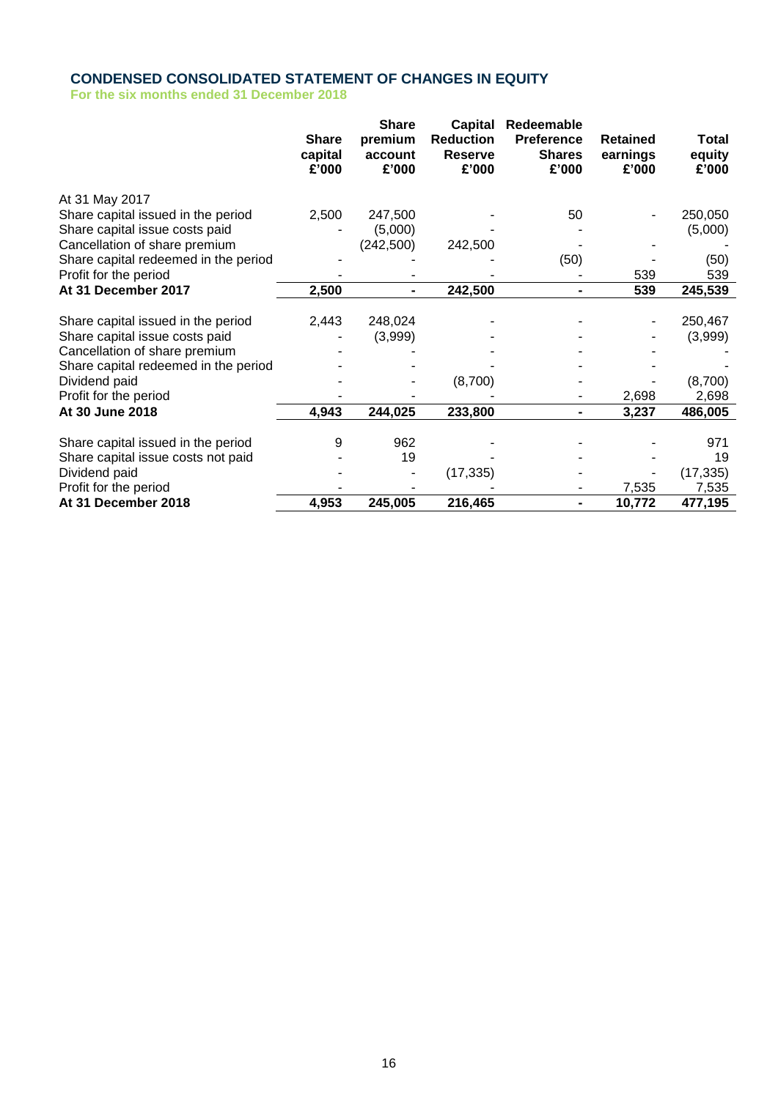# <span id="page-16-0"></span>**CONDENSED CONSOLIDATED STATEMENT OF CHANGES IN EQUITY For the six months ended 31 December 2018**

|                                      | <b>Share</b><br>capital<br>£'000 | <b>Share</b><br>premium<br>account<br>£'000 | <b>Capital</b><br><b>Reduction</b><br><b>Reserve</b><br>£'000 | Redeemable<br><b>Preference</b><br><b>Shares</b><br>£'000 | <b>Retained</b><br>earnings<br>£'000 | Total<br>equity<br>£'000 |
|--------------------------------------|----------------------------------|---------------------------------------------|---------------------------------------------------------------|-----------------------------------------------------------|--------------------------------------|--------------------------|
| At 31 May 2017                       |                                  |                                             |                                                               |                                                           |                                      |                          |
| Share capital issued in the period   | 2,500                            | 247,500                                     |                                                               | 50                                                        |                                      | 250,050                  |
| Share capital issue costs paid       |                                  | (5,000)                                     |                                                               |                                                           |                                      | (5,000)                  |
| Cancellation of share premium        |                                  | (242, 500)                                  | 242,500                                                       |                                                           |                                      |                          |
| Share capital redeemed in the period |                                  |                                             |                                                               | (50)                                                      |                                      | (50)                     |
| Profit for the period                |                                  |                                             |                                                               |                                                           | 539                                  | 539                      |
| At 31 December 2017                  | 2,500                            |                                             | 242,500                                                       |                                                           | 539                                  | 245,539                  |
|                                      |                                  |                                             |                                                               |                                                           |                                      |                          |
| Share capital issued in the period   | 2,443                            | 248,024                                     |                                                               |                                                           |                                      | 250,467                  |
| Share capital issue costs paid       |                                  | (3,999)                                     |                                                               |                                                           |                                      | (3,999)                  |
| Cancellation of share premium        |                                  |                                             |                                                               |                                                           |                                      |                          |
| Share capital redeemed in the period |                                  |                                             |                                                               |                                                           |                                      |                          |
| Dividend paid                        |                                  |                                             | (8,700)                                                       |                                                           |                                      | (8,700)                  |
| Profit for the period                |                                  |                                             |                                                               |                                                           | 2,698                                | 2,698                    |
| At 30 June 2018                      | 4,943                            | 244,025                                     | 233,800                                                       |                                                           | 3,237                                | 486,005                  |
| Share capital issued in the period   | 9                                | 962                                         |                                                               |                                                           |                                      | 971                      |
| Share capital issue costs not paid   |                                  | 19                                          |                                                               |                                                           |                                      | 19                       |
| Dividend paid                        |                                  |                                             | (17, 335)                                                     |                                                           |                                      | (17, 335)                |
| Profit for the period                |                                  |                                             |                                                               |                                                           | 7,535                                | 7,535                    |
| At 31 December 2018                  | 4,953                            | 245,005                                     | 216,465                                                       | -                                                         | 10,772                               | 477,195                  |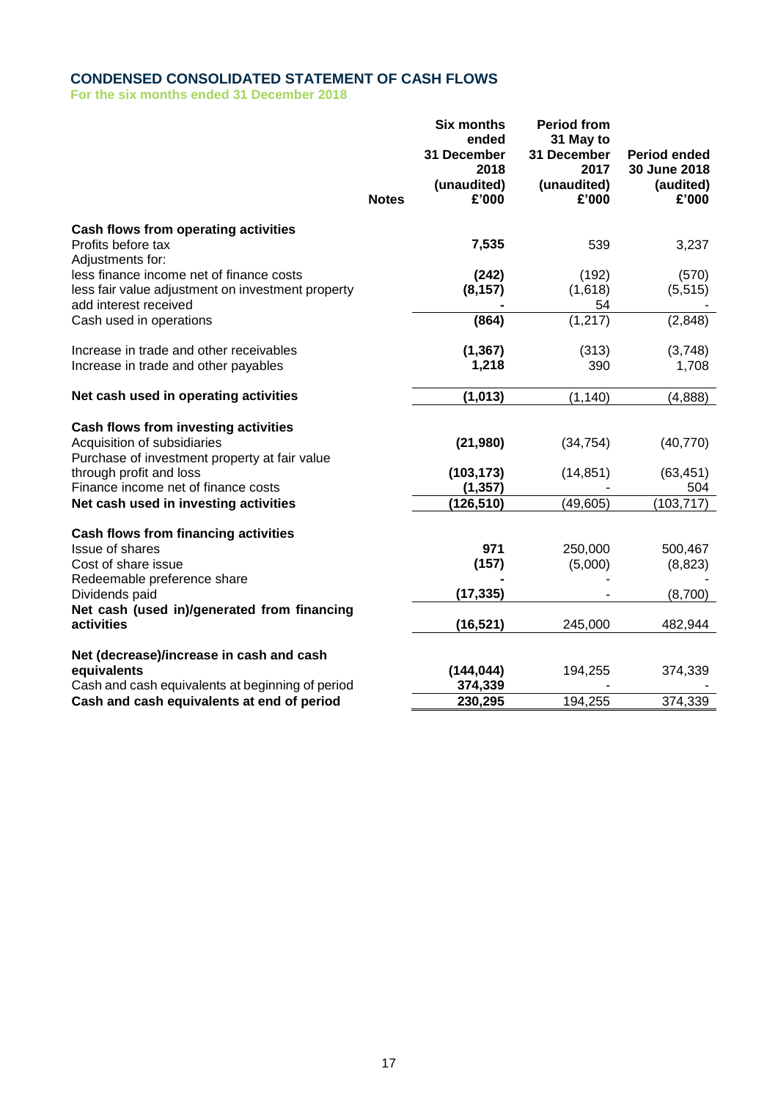# <span id="page-17-0"></span>**CONDENSED CONSOLIDATED STATEMENT OF CASH FLOWS**

**For the six months ended 31 December 2018**

|                                                                                                                                                 | <b>Notes</b> | <b>Six months</b><br>ended<br>31 December<br>2018<br>(unaudited)<br>£'000 | <b>Period from</b><br>31 May to<br>31 December<br>2017<br>(unaudited)<br>£'000 | <b>Period ended</b><br>30 June 2018<br>(audited)<br>£'000 |
|-------------------------------------------------------------------------------------------------------------------------------------------------|--------------|---------------------------------------------------------------------------|--------------------------------------------------------------------------------|-----------------------------------------------------------|
| Cash flows from operating activities<br>Profits before tax                                                                                      |              | 7,535                                                                     | 539                                                                            | 3,237                                                     |
| Adjustments for:<br>less finance income net of finance costs<br>less fair value adjustment on investment property<br>add interest received      |              | (242)<br>(8, 157)                                                         | (192)<br>(1,618)<br>54                                                         | (570)<br>(5, 515)                                         |
| Cash used in operations                                                                                                                         |              | (864)                                                                     | (1, 217)                                                                       | (2,848)                                                   |
| Increase in trade and other receivables<br>Increase in trade and other payables                                                                 |              | (1, 367)<br>1,218                                                         | (313)<br>390                                                                   | (3,748)<br>1,708                                          |
| Net cash used in operating activities                                                                                                           |              | (1, 013)                                                                  | (1, 140)                                                                       | (4,888)                                                   |
| Cash flows from investing activities<br>Acquisition of subsidiaries<br>Purchase of investment property at fair value<br>through profit and loss |              | (21, 980)<br>(103, 173)                                                   | (34, 754)<br>(14, 851)                                                         | (40, 770)<br>(63, 451)                                    |
| Finance income net of finance costs<br>Net cash used in investing activities                                                                    |              | (1, 357)<br>(126, 510)                                                    | (49, 605)                                                                      | 504<br>(103, 717)                                         |
| <b>Cash flows from financing activities</b>                                                                                                     |              |                                                                           |                                                                                |                                                           |
| Issue of shares<br>Cost of share issue<br>Redeemable preference share                                                                           |              | 971<br>(157)                                                              | 250,000<br>(5,000)                                                             | 500,467<br>(8,823)                                        |
| Dividends paid                                                                                                                                  |              | (17, 335)                                                                 |                                                                                | (8,700)                                                   |
| Net cash (used in)/generated from financing<br>activities                                                                                       |              | (16, 521)                                                                 | 245,000                                                                        | 482,944                                                   |
| Net (decrease)/increase in cash and cash<br>equivalents<br>Cash and cash equivalents at beginning of period                                     |              | (144, 044)<br>374,339                                                     | 194,255                                                                        | 374,339                                                   |
| Cash and cash equivalents at end of period                                                                                                      |              | 230,295                                                                   | 194,255                                                                        | 374,339                                                   |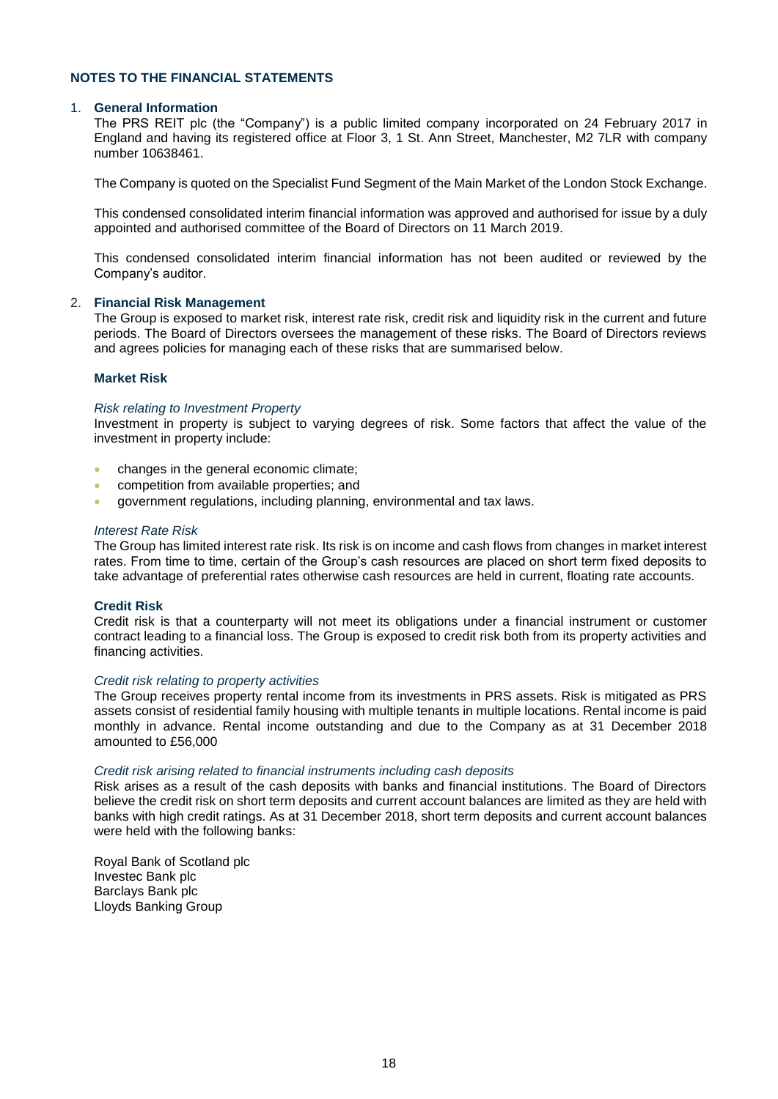### <span id="page-18-0"></span>1. **General Information**

The PRS REIT plc (the "Company") is a public limited company incorporated on 24 February 2017 in England and having its registered office at Floor 3, 1 St. Ann Street, Manchester, M2 7LR with company number 10638461.

The Company is quoted on the Specialist Fund Segment of the Main Market of the London Stock Exchange.

This condensed consolidated interim financial information was approved and authorised for issue by a duly appointed and authorised committee of the Board of Directors on 11 March 2019.

This condensed consolidated interim financial information has not been audited or reviewed by the Company's auditor.

#### 2. **Financial Risk Management**

The Group is exposed to market risk, interest rate risk, credit risk and liquidity risk in the current and future periods. The Board of Directors oversees the management of these risks. The Board of Directors reviews and agrees policies for managing each of these risks that are summarised below.

#### **Market Risk**

#### *Risk relating to Investment Property*

Investment in property is subject to varying degrees of risk. Some factors that affect the value of the investment in property include:

- changes in the general economic climate;
- competition from available properties; and
- government regulations, including planning, environmental and tax laws.

#### *Interest Rate Risk*

The Group has limited interest rate risk. Its risk is on income and cash flows from changes in market interest rates. From time to time, certain of the Group's cash resources are placed on short term fixed deposits to take advantage of preferential rates otherwise cash resources are held in current, floating rate accounts.

### **Credit Risk**

Credit risk is that a counterparty will not meet its obligations under a financial instrument or customer contract leading to a financial loss. The Group is exposed to credit risk both from its property activities and financing activities.

#### *Credit risk relating to property activities*

The Group receives property rental income from its investments in PRS assets. Risk is mitigated as PRS assets consist of residential family housing with multiple tenants in multiple locations. Rental income is paid monthly in advance. Rental income outstanding and due to the Company as at 31 December 2018 amounted to £56,000

#### *Credit risk arising related to financial instruments including cash deposits*

Risk arises as a result of the cash deposits with banks and financial institutions. The Board of Directors believe the credit risk on short term deposits and current account balances are limited as they are held with banks with high credit ratings. As at 31 December 2018, short term deposits and current account balances were held with the following banks:

Royal Bank of Scotland plc Investec Bank plc Barclays Bank plc Lloyds Banking Group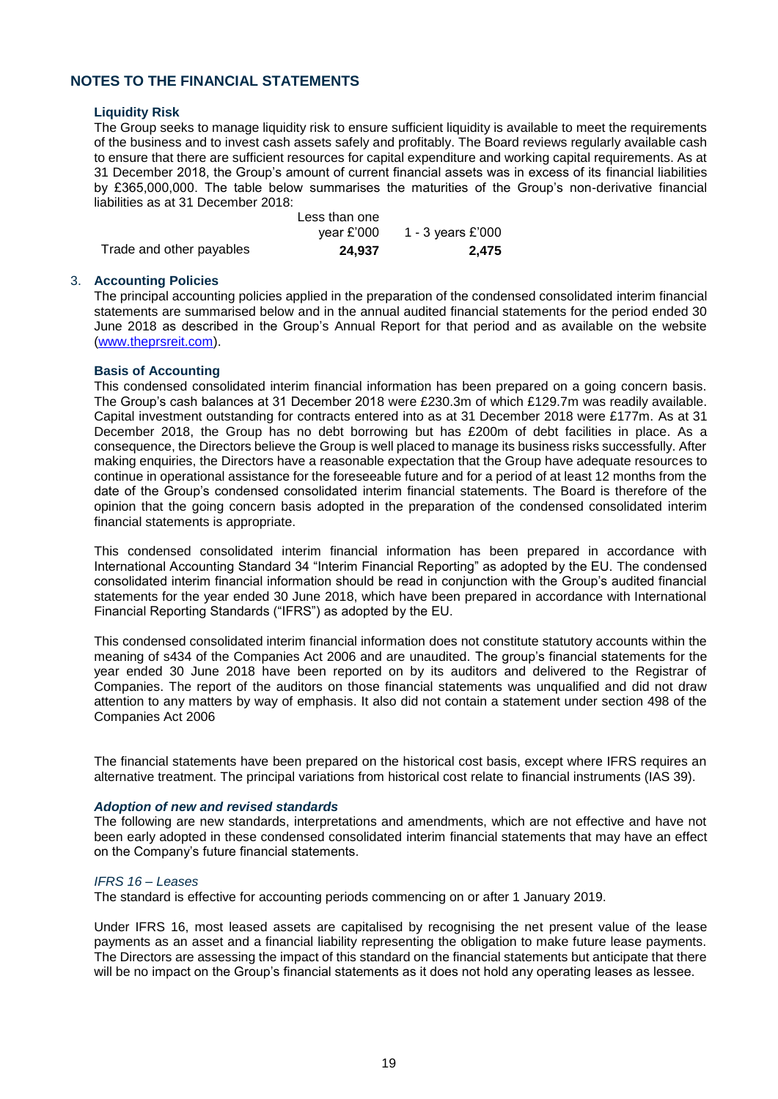### **Liquidity Risk**

The Group seeks to manage liquidity risk to ensure sufficient liquidity is available to meet the requirements of the business and to invest cash assets safely and profitably. The Board reviews regularly available cash to ensure that there are sufficient resources for capital expenditure and working capital requirements. As at 31 December 2018, the Group's amount of current financial assets was in excess of its financial liabilities by £365,000,000. The table below summarises the maturities of the Group's non-derivative financial liabilities as at 31 December 2018:

|                          | Less than one |                   |
|--------------------------|---------------|-------------------|
|                          | vear £'000    | 1 - 3 years £'000 |
| Trade and other payables | 24.937        | 2,475             |

### 3. **Accounting Policies**

The principal accounting policies applied in the preparation of the condensed consolidated interim financial statements are summarised below and in the annual audited financial statements for the period ended 30 June 2018 as described in the Group's Annual Report for that period and as available on the website [\(www.theprsreit.com\)](http://www.theprsreit.com/).

### **Basis of Accounting**

This condensed consolidated interim financial information has been prepared on a going concern basis. The Group's cash balances at 31 December 2018 were £230.3m of which £129.7m was readily available. Capital investment outstanding for contracts entered into as at 31 December 2018 were £177m. As at 31 December 2018, the Group has no debt borrowing but has £200m of debt facilities in place. As a consequence, the Directors believe the Group is well placed to manage its business risks successfully. After making enquiries, the Directors have a reasonable expectation that the Group have adequate resources to continue in operational assistance for the foreseeable future and for a period of at least 12 months from the date of the Group's condensed consolidated interim financial statements. The Board is therefore of the opinion that the going concern basis adopted in the preparation of the condensed consolidated interim financial statements is appropriate.

This condensed consolidated interim financial information has been prepared in accordance with International Accounting Standard 34 "Interim Financial Reporting" as adopted by the EU. The condensed consolidated interim financial information should be read in conjunction with the Group's audited financial statements for the year ended 30 June 2018, which have been prepared in accordance with International Financial Reporting Standards ("IFRS") as adopted by the EU.

This condensed consolidated interim financial information does not constitute statutory accounts within the meaning of s434 of the Companies Act 2006 and are unaudited. The group's financial statements for the year ended 30 June 2018 have been reported on by its auditors and delivered to the Registrar of Companies. The report of the auditors on those financial statements was unqualified and did not draw attention to any matters by way of emphasis. It also did not contain a statement under section 498 of the Companies Act 2006

The financial statements have been prepared on the historical cost basis, except where IFRS requires an alternative treatment. The principal variations from historical cost relate to financial instruments (IAS 39).

### *Adoption of new and revised standards*

The following are new standards, interpretations and amendments, which are not effective and have not been early adopted in these condensed consolidated interim financial statements that may have an effect on the Company's future financial statements.

### *IFRS 16 – Leases*

The standard is effective for accounting periods commencing on or after 1 January 2019.

Under IFRS 16, most leased assets are capitalised by recognising the net present value of the lease payments as an asset and a financial liability representing the obligation to make future lease payments. The Directors are assessing the impact of this standard on the financial statements but anticipate that there will be no impact on the Group's financial statements as it does not hold any operating leases as lessee.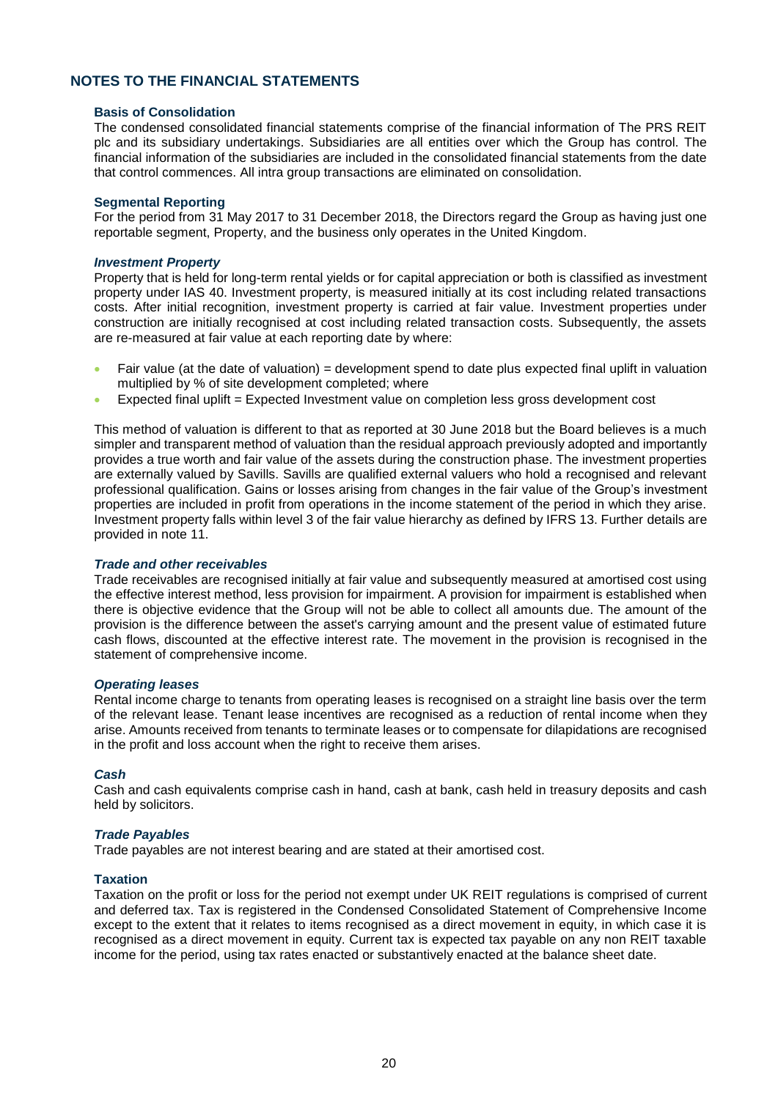### **Basis of Consolidation**

The condensed consolidated financial statements comprise of the financial information of The PRS REIT plc and its subsidiary undertakings. Subsidiaries are all entities over which the Group has control. The financial information of the subsidiaries are included in the consolidated financial statements from the date that control commences. All intra group transactions are eliminated on consolidation.

#### **Segmental Reporting**

For the period from 31 May 2017 to 31 December 2018, the Directors regard the Group as having just one reportable segment, Property, and the business only operates in the United Kingdom.

#### *Investment Property*

Property that is held for long-term rental yields or for capital appreciation or both is classified as investment property under IAS 40. Investment property, is measured initially at its cost including related transactions costs. After initial recognition, investment property is carried at fair value. Investment properties under construction are initially recognised at cost including related transaction costs. Subsequently, the assets are re-measured at fair value at each reporting date by where:

- Fair value (at the date of valuation) = development spend to date plus expected final uplift in valuation multiplied by % of site development completed; where
- Expected final uplift = Expected Investment value on completion less gross development cost

This method of valuation is different to that as reported at 30 June 2018 but the Board believes is a much simpler and transparent method of valuation than the residual approach previously adopted and importantly provides a true worth and fair value of the assets during the construction phase. The investment properties are externally valued by Savills. Savills are qualified external valuers who hold a recognised and relevant professional qualification. Gains or losses arising from changes in the fair value of the Group's investment properties are included in profit from operations in the income statement of the period in which they arise. Investment property falls within level 3 of the fair value hierarchy as defined by IFRS 13. Further details are provided in note [11.](#page-25-0)

#### *Trade and other receivables*

Trade receivables are recognised initially at fair value and subsequently measured at amortised cost using the effective interest method, less provision for impairment. A provision for impairment is established when there is objective evidence that the Group will not be able to collect all amounts due. The amount of the provision is the difference between the asset's carrying amount and the present value of estimated future cash flows, discounted at the effective interest rate. The movement in the provision is recognised in the statement of comprehensive income.

#### *Operating leases*

Rental income charge to tenants from operating leases is recognised on a straight line basis over the term of the relevant lease. Tenant lease incentives are recognised as a reduction of rental income when they arise. Amounts received from tenants to terminate leases or to compensate for dilapidations are recognised in the profit and loss account when the right to receive them arises.

#### *Cash*

Cash and cash equivalents comprise cash in hand, cash at bank, cash held in treasury deposits and cash held by solicitors.

### *Trade Payables*

Trade payables are not interest bearing and are stated at their amortised cost.

### **Taxation**

Taxation on the profit or loss for the period not exempt under UK REIT regulations is comprised of current and deferred tax. Tax is registered in the Condensed Consolidated Statement of Comprehensive Income except to the extent that it relates to items recognised as a direct movement in equity, in which case it is recognised as a direct movement in equity. Current tax is expected tax payable on any non REIT taxable income for the period, using tax rates enacted or substantively enacted at the balance sheet date.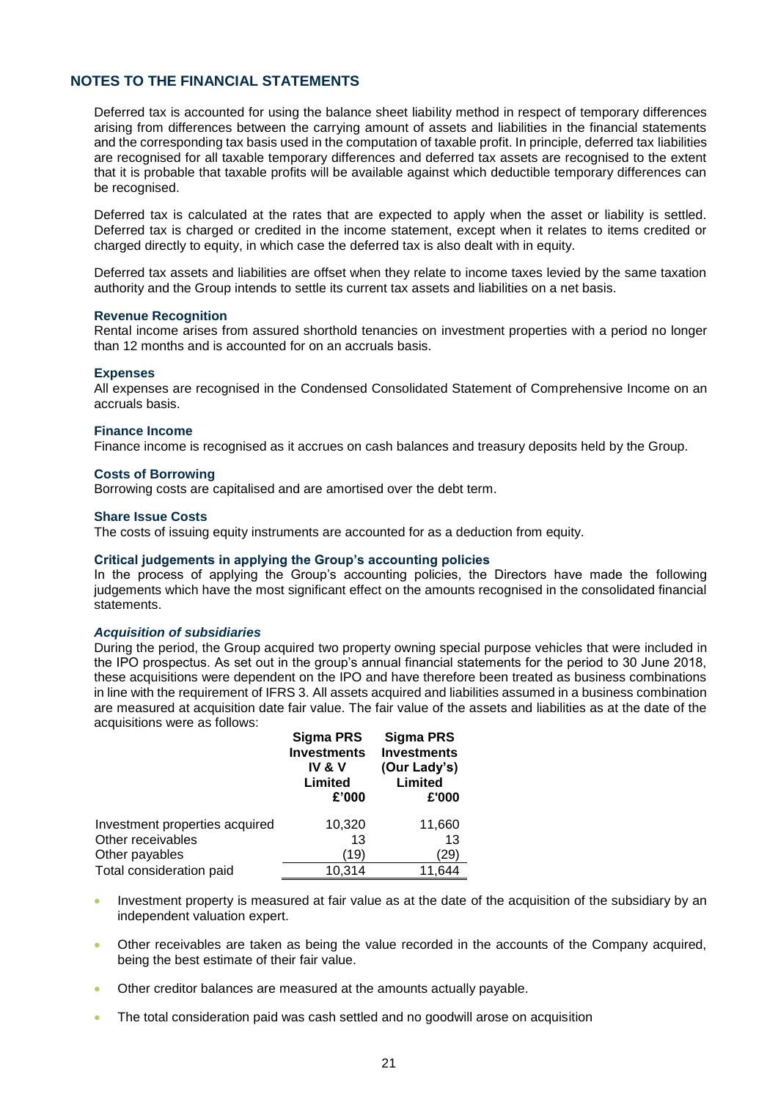Deferred tax is accounted for using the balance sheet liability method in respect of temporary differences arising from differences between the carrying amount of assets and liabilities in the financial statements and the corresponding tax basis used in the computation of taxable profit. In principle, deferred tax liabilities are recognised for all taxable temporary differences and deferred tax assets are recognised to the extent that it is probable that taxable profits will be available against which deductible temporary differences can be recognised.

Deferred tax is calculated at the rates that are expected to apply when the asset or liability is settled. Deferred tax is charged or credited in the income statement, except when it relates to items credited or charged directly to equity, in which case the deferred tax is also dealt with in equity.

Deferred tax assets and liabilities are offset when they relate to income taxes levied by the same taxation authority and the Group intends to settle its current tax assets and liabilities on a net basis.

#### **Revenue Recognition**

Rental income arises from assured shorthold tenancies on investment properties with a period no longer than 12 months and is accounted for on an accruals basis.

#### **Expenses**

All expenses are recognised in the Condensed Consolidated Statement of Comprehensive Income on an accruals basis.

#### **Finance Income**

Finance income is recognised as it accrues on cash balances and treasury deposits held by the Group.

### **Costs of Borrowing**

Borrowing costs are capitalised and are amortised over the debt term.

#### **Share Issue Costs**

The costs of issuing equity instruments are accounted for as a deduction from equity.

### **Critical judgements in applying the Group's accounting policies**

In the process of applying the Group's accounting policies, the Directors have made the following judgements which have the most significant effect on the amounts recognised in the consolidated financial statements.

#### *Acquisition of subsidiaries*

During the period, the Group acquired two property owning special purpose vehicles that were included in the IPO prospectus. As set out in the group's annual financial statements for the period to 30 June 2018, these acquisitions were dependent on the IPO and have therefore been treated as business combinations in line with the requirement of IFRS 3. All assets acquired and liabilities assumed in a business combination are measured at acquisition date fair value. The fair value of the assets and liabilities as at the date of the acquisitions were as follows:

|                                | <b>Sigma PRS</b><br><b>Investments</b><br>IV & V<br>Limited<br>£'000 | <b>Sigma PRS</b><br><b>Investments</b><br>(Our Lady's)<br>Limited<br>£'000 |
|--------------------------------|----------------------------------------------------------------------|----------------------------------------------------------------------------|
| Investment properties acquired | 10,320                                                               | 11,660                                                                     |
| Other receivables              | 13                                                                   | 13                                                                         |
| Other payables                 | (19)                                                                 | 29)                                                                        |
| Total consideration paid       | 10,314                                                               | 11,644                                                                     |

- Investment property is measured at fair value as at the date of the acquisition of the subsidiary by an independent valuation expert.
- Other receivables are taken as being the value recorded in the accounts of the Company acquired, being the best estimate of their fair value.
- Other creditor balances are measured at the amounts actually payable.
- The total consideration paid was cash settled and no goodwill arose on acquisition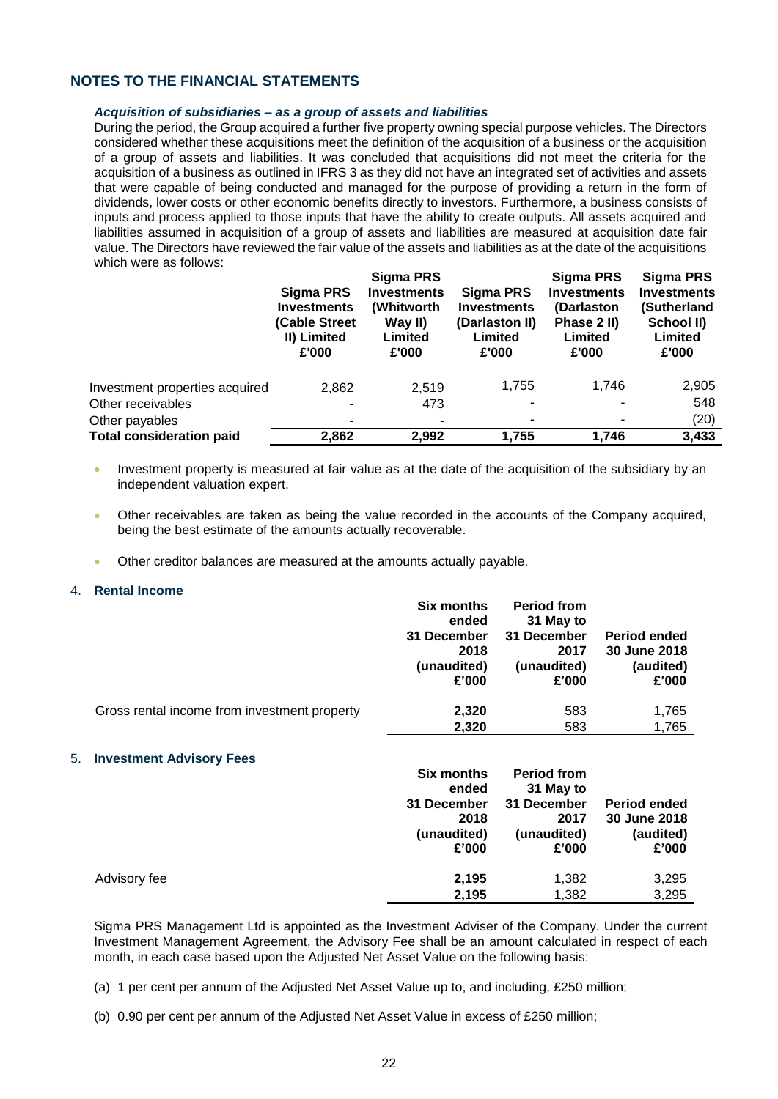### *Acquisition of subsidiaries – as a group of assets and liabilities*

During the period, the Group acquired a further five property owning special purpose vehicles. The Directors considered whether these acquisitions meet the definition of the acquisition of a business or the acquisition of a group of assets and liabilities. It was concluded that acquisitions did not meet the criteria for the acquisition of a business as outlined in IFRS 3 as they did not have an integrated set of activities and assets that were capable of being conducted and managed for the purpose of providing a return in the form of dividends, lower costs or other economic benefits directly to investors. Furthermore, a business consists of inputs and process applied to those inputs that have the ability to create outputs. All assets acquired and liabilities assumed in acquisition of a group of assets and liabilities are measured at acquisition date fair value. The Directors have reviewed the fair value of the assets and liabilities as at the date of the acquisitions which were as follows:

|                                 | Sigma PRS<br><b>Investments</b><br>(Cable Street<br>II) Limited<br>£'000 | <b>Sigma PRS</b><br><b>Investments</b><br>(Whitworth<br>Way II)<br>Limited<br>£'000 | Sigma PRS<br><b>Investments</b><br>(Darlaston II)<br>Limited<br>£'000 | <b>Sigma PRS</b><br><b>Investments</b><br>(Darlaston<br>Phase 2 II)<br>Limited<br>£'000 | <b>Sigma PRS</b><br><b>Investments</b><br>(Sutherland<br>School II)<br>Limited<br>£'000 |
|---------------------------------|--------------------------------------------------------------------------|-------------------------------------------------------------------------------------|-----------------------------------------------------------------------|-----------------------------------------------------------------------------------------|-----------------------------------------------------------------------------------------|
| Investment properties acquired  | 2,862                                                                    | 2,519                                                                               | 1,755                                                                 | 1.746                                                                                   | 2,905                                                                                   |
| Other receivables               |                                                                          | 473                                                                                 | ٠                                                                     |                                                                                         | 548                                                                                     |
| Other payables                  |                                                                          |                                                                                     | $\blacksquare$                                                        |                                                                                         | (20)                                                                                    |
| <b>Total consideration paid</b> | 2,862                                                                    | 2,992                                                                               | 1,755                                                                 | 1,746                                                                                   | 3,433                                                                                   |

- Investment property is measured at fair value as at the date of the acquisition of the subsidiary by an independent valuation expert.
- Other receivables are taken as being the value recorded in the accounts of the Company acquired, being the best estimate of the amounts actually recoverable.
- Other creditor balances are measured at the amounts actually payable.

### <span id="page-22-0"></span>4. **Rental Income**

|    |                                              | <b>Six months</b><br>ended<br>31 December<br>2018<br>(unaudited)<br>£'000 | <b>Period from</b><br>31 May to<br>31 December<br>2017<br>(unaudited)<br>£'000 | <b>Period ended</b><br>30 June 2018<br>(audited)<br>£'000 |
|----|----------------------------------------------|---------------------------------------------------------------------------|--------------------------------------------------------------------------------|-----------------------------------------------------------|
|    | Gross rental income from investment property | 2,320                                                                     | 583                                                                            | 1,765                                                     |
|    |                                              | 2,320                                                                     | 583                                                                            | 1,765                                                     |
| 5. | <b>Investment Advisory Fees</b>              | <b>Six months</b>                                                         | <b>Period from</b>                                                             |                                                           |

<span id="page-22-1"></span>

|              | SIX MONTHS<br>ended<br>31 December<br>2018<br>(unaudited)<br>£'000 | <b>Period from</b><br>31 May to<br>31 December<br>2017<br>(unaudited)<br>£'000 | <b>Period ended</b><br>30 June 2018<br>(audited)<br>£'000 |
|--------------|--------------------------------------------------------------------|--------------------------------------------------------------------------------|-----------------------------------------------------------|
| Advisory fee | 2,195                                                              | 1,382                                                                          | 3,295                                                     |
|              | 2,195                                                              | 1,382                                                                          | 3,295                                                     |
|              |                                                                    |                                                                                |                                                           |

Sigma PRS Management Ltd is appointed as the Investment Adviser of the Company. Under the current Investment Management Agreement, the Advisory Fee shall be an amount calculated in respect of each month, in each case based upon the Adjusted Net Asset Value on the following basis:

(a) 1 per cent per annum of the Adjusted Net Asset Value up to, and including, £250 million;

(b) 0.90 per cent per annum of the Adjusted Net Asset Value in excess of £250 million;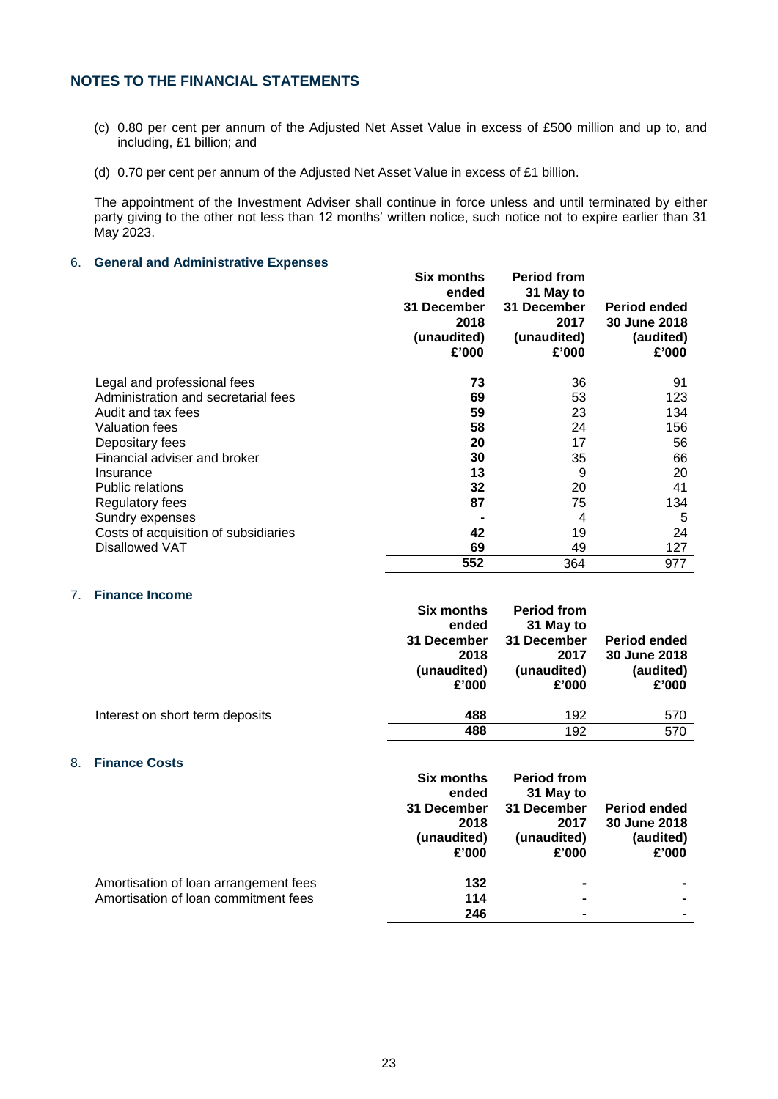- (c) 0.80 per cent per annum of the Adjusted Net Asset Value in excess of £500 million and up to, and including, £1 billion; and
- (d) 0.70 per cent per annum of the Adjusted Net Asset Value in excess of £1 billion.

The appointment of the Investment Adviser shall continue in force unless and until terminated by either party giving to the other not less than 12 months' written notice, such notice not to expire earlier than 31 May 2023.

#### <span id="page-23-0"></span>6. **General and Administrative Expenses**

|                                      | Six months<br>ended<br>31 December<br>2018<br>(unaudited)<br>£'000 | <b>Period from</b><br>31 May to<br>31 December<br>2017<br>(unaudited)<br>£'000 | <b>Period ended</b><br>30 June 2018<br>(audited)<br>£'000 |
|--------------------------------------|--------------------------------------------------------------------|--------------------------------------------------------------------------------|-----------------------------------------------------------|
| Legal and professional fees          | 73                                                                 | 36                                                                             | 91                                                        |
| Administration and secretarial fees  | 69                                                                 | 53                                                                             | 123                                                       |
| Audit and tax fees                   | 59                                                                 | 23                                                                             | 134                                                       |
| <b>Valuation fees</b>                | 58                                                                 | 24                                                                             | 156                                                       |
| Depositary fees                      | 20                                                                 | 17                                                                             | 56                                                        |
| Financial adviser and broker         | 30                                                                 | 35                                                                             | 66                                                        |
| Insurance                            | 13                                                                 | 9                                                                              | 20                                                        |
| Public relations                     | 32                                                                 | 20                                                                             | 41                                                        |
| Regulatory fees                      | 87                                                                 | 75                                                                             | 134                                                       |
| Sundry expenses                      |                                                                    | 4                                                                              | 5                                                         |
| Costs of acquisition of subsidiaries | 42                                                                 | 19                                                                             | 24                                                        |
| <b>Disallowed VAT</b>                | 69                                                                 | 49                                                                             | 127                                                       |
|                                      | 552                                                                | 364                                                                            | 977                                                       |

# <span id="page-23-1"></span>7. **Finance Income**

|                                 | <b>Six months</b><br>ended | <b>Period from</b><br>31 May to |                                     |
|---------------------------------|----------------------------|---------------------------------|-------------------------------------|
|                                 | 31 December<br>2018        | 31 December<br>2017             | <b>Period ended</b><br>30 June 2018 |
|                                 | (unaudited)                | (unaudited)                     | (audited)                           |
|                                 | £'000                      | £'000                           | £'000                               |
| Interest on short term deposits | 488                        | 192                             | 570                                 |
|                                 | 488                        | 192                             | 570                                 |

### <span id="page-23-2"></span>8. **Finance Costs**

|                                       | <b>Six months</b><br>ended<br>31 December<br>2018 | <b>Period from</b><br>31 May to<br>31 December<br>2017 | <b>Period ended</b><br>30 June 2018 |
|---------------------------------------|---------------------------------------------------|--------------------------------------------------------|-------------------------------------|
|                                       | (unaudited)                                       | (unaudited)                                            | (audited)                           |
|                                       | £'000                                             | £'000                                                  | £'000                               |
| Amortisation of loan arrangement fees | 132                                               |                                                        |                                     |
| Amortisation of loan commitment fees  | 114                                               |                                                        |                                     |
|                                       | 246                                               | ۰                                                      |                                     |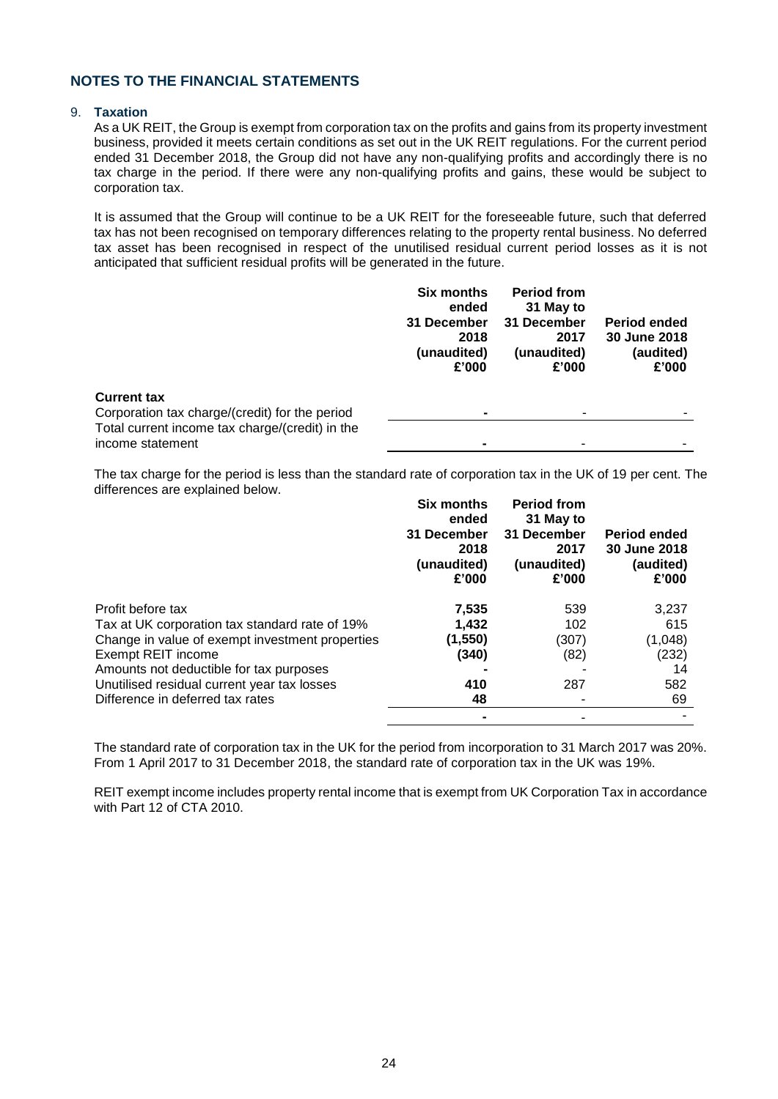### <span id="page-24-0"></span>9. **Taxation**

As a UK REIT, the Group is exempt from corporation tax on the profits and gains from its property investment business, provided it meets certain conditions as set out in the UK REIT regulations. For the current period ended 31 December 2018, the Group did not have any non-qualifying profits and accordingly there is no tax charge in the period. If there were any non-qualifying profits and gains, these would be subject to corporation tax.

It is assumed that the Group will continue to be a UK REIT for the foreseeable future, such that deferred tax has not been recognised on temporary differences relating to the property rental business. No deferred tax asset has been recognised in respect of the unutilised residual current period losses as it is not anticipated that sufficient residual profits will be generated in the future.

|                                                                     | <b>Six months</b><br>ended<br>31 December<br>2018<br>(unaudited)<br>£'000 | <b>Period from</b><br>31 May to<br>31 December<br>2017<br>(unaudited)<br>£'000 | <b>Period ended</b><br>30 June 2018<br>(audited)<br>£'000 |
|---------------------------------------------------------------------|---------------------------------------------------------------------------|--------------------------------------------------------------------------------|-----------------------------------------------------------|
| <b>Current tax</b>                                                  |                                                                           |                                                                                |                                                           |
| Corporation tax charge/(credit) for the period                      | $\blacksquare$                                                            |                                                                                |                                                           |
| Total current income tax charge/(credit) in the<br>income statement |                                                                           |                                                                                |                                                           |

The tax charge for the period is less than the standard rate of corporation tax in the UK of 19 per cent. The differences are explained below.

|                                                 | <b>Six months</b><br>ended<br>31 December<br>2018<br>(unaudited)<br>£'000 | <b>Period from</b><br>31 May to<br>31 December<br>2017<br>(unaudited)<br>£'000 | <b>Period ended</b><br>30 June 2018<br>(audited)<br>£'000 |
|-------------------------------------------------|---------------------------------------------------------------------------|--------------------------------------------------------------------------------|-----------------------------------------------------------|
| Profit before tax                               | 7,535                                                                     | 539                                                                            | 3,237                                                     |
| Tax at UK corporation tax standard rate of 19%  | 1,432                                                                     | 102                                                                            | 615                                                       |
| Change in value of exempt investment properties | (1, 550)                                                                  | (307)                                                                          | (1,048)                                                   |
| Exempt REIT income                              | (340)                                                                     | (82)                                                                           | (232)                                                     |
| Amounts not deductible for tax purposes         |                                                                           |                                                                                | 14                                                        |
| Unutilised residual current year tax losses     | 410                                                                       | 287                                                                            | 582                                                       |
| Difference in deferred tax rates                | 48                                                                        |                                                                                | 69                                                        |
|                                                 |                                                                           |                                                                                |                                                           |

The standard rate of corporation tax in the UK for the period from incorporation to 31 March 2017 was 20%. From 1 April 2017 to 31 December 2018, the standard rate of corporation tax in the UK was 19%.

REIT exempt income includes property rental income that is exempt from UK Corporation Tax in accordance with Part 12 of CTA 2010.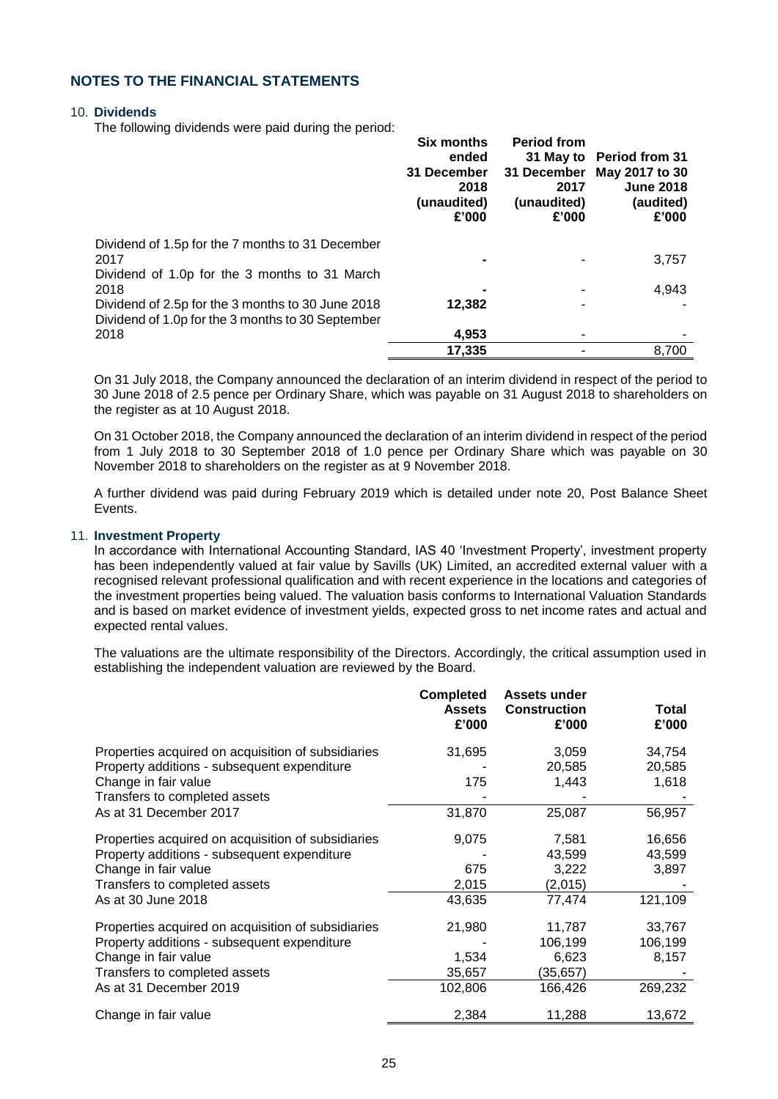### 10. **Dividends**

The following dividends were paid during the period:

|                                                                                                        | <b>Six months</b><br>ended<br>31 December<br>2018<br>(unaudited)<br>£'000 | <b>Period from</b><br>31 May to<br>31 December<br>2017<br>(unaudited)<br>£'000 | <b>Period from 31</b><br>May 2017 to 30<br><b>June 2018</b><br>(audited)<br>£'000 |
|--------------------------------------------------------------------------------------------------------|---------------------------------------------------------------------------|--------------------------------------------------------------------------------|-----------------------------------------------------------------------------------|
| Dividend of 1.5p for the 7 months to 31 December<br>2017                                               |                                                                           |                                                                                | 3,757                                                                             |
| Dividend of 1.0p for the 3 months to 31 March                                                          |                                                                           |                                                                                |                                                                                   |
| 2018                                                                                                   |                                                                           |                                                                                | 4,943                                                                             |
| Dividend of 2.5p for the 3 months to 30 June 2018<br>Dividend of 1.0p for the 3 months to 30 September | 12,382                                                                    |                                                                                |                                                                                   |
| 2018                                                                                                   | 4,953                                                                     |                                                                                |                                                                                   |
|                                                                                                        | 17,335                                                                    |                                                                                | 8.700                                                                             |

On 31 July 2018, the Company announced the declaration of an interim dividend in respect of the period to 30 June 2018 of 2.5 pence per Ordinary Share, which was payable on 31 August 2018 to shareholders on the register as at 10 August 2018.

On 31 October 2018, the Company announced the declaration of an interim dividend in respect of the period from 1 July 2018 to 30 September 2018 of 1.0 pence per Ordinary Share which was payable on 30 November 2018 to shareholders on the register as at 9 November 2018.

A further dividend was paid during February 2019 which is detailed under note [20,](#page-28-0) Post Balance Sheet Events.

### <span id="page-25-0"></span>11. **Investment Property**

In accordance with International Accounting Standard, IAS 40 'Investment Property', investment property has been independently valued at fair value by Savills (UK) Limited, an accredited external valuer with a recognised relevant professional qualification and with recent experience in the locations and categories of the investment properties being valued. The valuation basis conforms to International Valuation Standards and is based on market evidence of investment yields, expected gross to net income rates and actual and expected rental values.

The valuations are the ultimate responsibility of the Directors. Accordingly, the critical assumption used in establishing the independent valuation are reviewed by the Board.

|                                                    | <b>Completed</b><br><b>Assets</b><br>£'000 | Assets under<br><b>Construction</b><br>£'000 | Total<br>£'000 |
|----------------------------------------------------|--------------------------------------------|----------------------------------------------|----------------|
| Properties acquired on acquisition of subsidiaries | 31,695                                     | 3,059                                        | 34,754         |
| Property additions - subsequent expenditure        |                                            | 20,585                                       | 20,585         |
| Change in fair value                               | 175                                        | 1,443                                        | 1,618          |
| Transfers to completed assets                      |                                            |                                              |                |
| As at 31 December 2017                             | 31,870                                     | 25,087                                       | 56,957         |
| Properties acquired on acquisition of subsidiaries | 9,075                                      | 7,581                                        | 16,656         |
| Property additions - subsequent expenditure        |                                            | 43,599                                       | 43,599         |
| Change in fair value                               | 675                                        | 3,222                                        | 3,897          |
| Transfers to completed assets                      | 2,015                                      | (2,015)                                      |                |
| As at 30 June 2018                                 | 43,635                                     | 77,474                                       | 121,109        |
| Properties acquired on acquisition of subsidiaries | 21,980                                     | 11,787                                       | 33,767         |
| Property additions - subsequent expenditure        |                                            | 106,199                                      | 106,199        |
| Change in fair value                               | 1,534                                      | 6,623                                        | 8,157          |
| Transfers to completed assets                      | 35,657                                     | (35, 657)                                    |                |
| As at 31 December 2019                             | 102,806                                    | 166,426                                      | 269,232        |
| Change in fair value                               | 2,384                                      | 11,288                                       | 13,672         |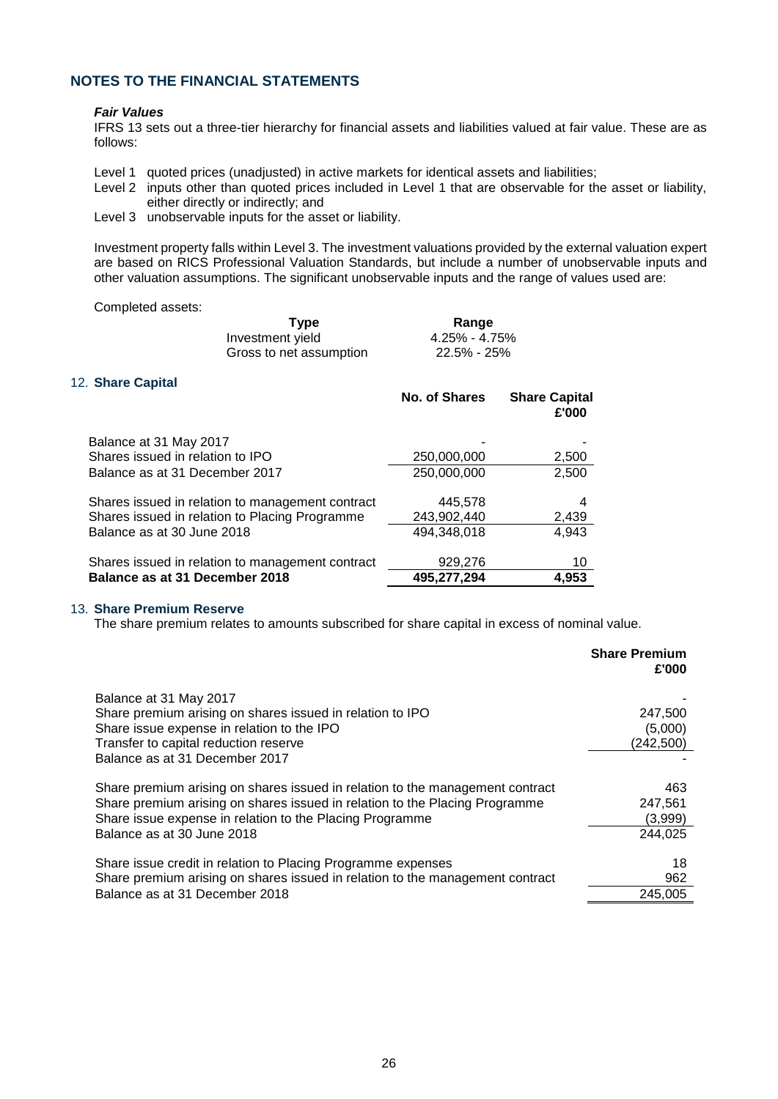#### *Fair Values*

IFRS 13 sets out a three-tier hierarchy for financial assets and liabilities valued at fair value. These are as follows:

- Level 1 quoted prices (unadjusted) in active markets for identical assets and liabilities;
- Level 2 inputs other than quoted prices included in Level 1 that are observable for the asset or liability, either directly or indirectly; and
- Level 3 unobservable inputs for the asset or liability.

Investment property falls within Level 3. The investment valuations provided by the external valuation expert are based on RICS Professional Valuation Standards, but include a number of unobservable inputs and other valuation assumptions. The significant unobservable inputs and the range of values used are:

#### Completed assets:

| Type                    | Range             |
|-------------------------|-------------------|
| Investment yield        | $4.25\% - 4.75\%$ |
| Gross to net assumption | $22.5\% - 25\%$   |
|                         |                   |

### <span id="page-26-0"></span>12. **Share Capital**

|                                                            | <b>No. of Shares</b> | <b>Share Capital</b><br>£'000 |
|------------------------------------------------------------|----------------------|-------------------------------|
| Balance at 31 May 2017<br>Shares issued in relation to IPO | 250,000,000          | 2,500                         |
| Balance as at 31 December 2017                             | 250,000,000          | 2,500                         |
| Shares issued in relation to management contract           | 445,578              | 4                             |
| Shares issued in relation to Placing Programme             | 243,902,440          | 2,439                         |
| Balance as at 30 June 2018                                 | 494,348,018          | 4,943                         |
| Shares issued in relation to management contract           | 929,276              | 10                            |
| Balance as at 31 December 2018                             | 495,277,294          | 4.953                         |

#### <span id="page-26-1"></span>13. **Share Premium Reserve**

The share premium relates to amounts subscribed for share capital in excess of nominal value.

|                                                                               | <b>Share Premium</b><br>£'000 |
|-------------------------------------------------------------------------------|-------------------------------|
| Balance at 31 May 2017                                                        |                               |
| Share premium arising on shares issued in relation to IPO                     | 247,500                       |
| Share issue expense in relation to the IPO                                    | (5,000)                       |
| Transfer to capital reduction reserve                                         | (242, 500)                    |
| Balance as at 31 December 2017                                                |                               |
| Share premium arising on shares issued in relation to the management contract | 463                           |
| Share premium arising on shares issued in relation to the Placing Programme   | 247,561                       |
| Share issue expense in relation to the Placing Programme                      | (3,999)                       |
| Balance as at 30 June 2018                                                    | 244.025                       |
| Share issue credit in relation to Placing Programme expenses                  | 18                            |
| Share premium arising on shares issued in relation to the management contract | 962                           |
| Balance as at 31 December 2018                                                | 245.005                       |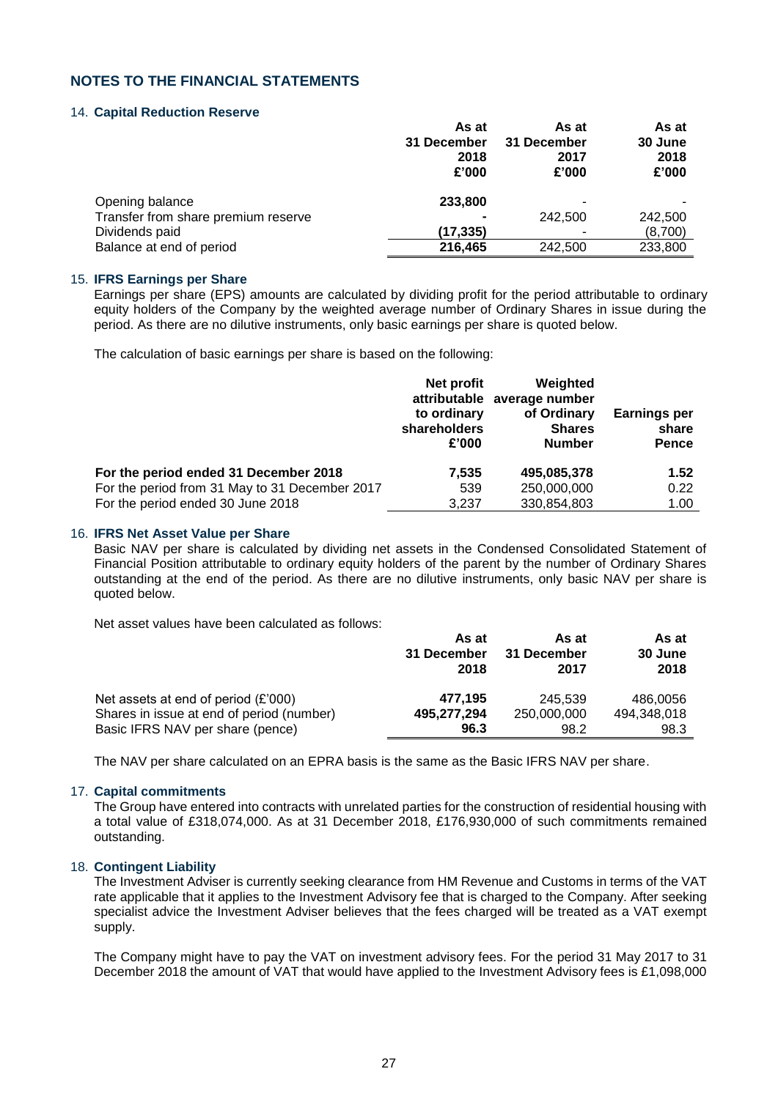### <span id="page-27-1"></span>14. **Capital Reduction Reserve**

|                                     | As at<br>31 December<br>2018<br>£'000 | As at<br>31 December<br>2017<br>£'000 | As at<br>30 June<br>2018<br>£'000 |
|-------------------------------------|---------------------------------------|---------------------------------------|-----------------------------------|
| Opening balance                     | 233,800                               |                                       |                                   |
| Transfer from share premium reserve |                                       | 242,500                               | 242,500                           |
| Dividends paid                      | (17,335)                              |                                       | (8,700)                           |
| Balance at end of period            | 216,465                               | 242,500                               | 233,800                           |

### <span id="page-27-0"></span>15. **IFRS Earnings per Share**

Earnings per share (EPS) amounts are calculated by dividing profit for the period attributable to ordinary equity holders of the Company by the weighted average number of Ordinary Shares in issue during the period. As there are no dilutive instruments, only basic earnings per share is quoted below.

The calculation of basic earnings per share is based on the following:

|                                                | Net profit<br>to ordinary<br>shareholders<br>£'000 | Weighted<br>attributable average number<br>of Ordinary<br><b>Shares</b><br><b>Number</b> | <b>Earnings per</b><br>share<br><b>Pence</b> |
|------------------------------------------------|----------------------------------------------------|------------------------------------------------------------------------------------------|----------------------------------------------|
| For the period ended 31 December 2018          | 7,535                                              | 495,085,378                                                                              | 1.52                                         |
| For the period from 31 May to 31 December 2017 | 539                                                | 250,000,000                                                                              | 0.22                                         |
| For the period ended 30 June 2018              | 3,237                                              | 330,854,803                                                                              | 1.00                                         |

#### <span id="page-27-2"></span>16. **IFRS Net Asset Value per Share**

Basic NAV per share is calculated by dividing net assets in the Condensed Consolidated Statement of Financial Position attributable to ordinary equity holders of the parent by the number of Ordinary Shares outstanding at the end of the period. As there are no dilutive instruments, only basic NAV per share is quoted below.

Net asset values have been calculated as follows:

|                                           | As at       | As at       | As at       |
|-------------------------------------------|-------------|-------------|-------------|
|                                           | 31 December | 31 December | 30 June     |
|                                           | 2018        | 2017        | 2018        |
| Net assets at end of period (£'000)       | 477.195     | 245.539     | 486,0056    |
| Shares in issue at end of period (number) | 495,277,294 | 250,000,000 | 494,348,018 |
| Basic IFRS NAV per share (pence)          | 96.3        | 98.2        | 98.3        |

The NAV per share calculated on an EPRA basis is the same as the Basic IFRS NAV per share.

### 17. **Capital commitments**

The Group have entered into contracts with unrelated parties for the construction of residential housing with a total value of £318,074,000. As at 31 December 2018, £176,930,000 of such commitments remained outstanding.

### 18. **Contingent Liability**

The Investment Adviser is currently seeking clearance from HM Revenue and Customs in terms of the VAT rate applicable that it applies to the Investment Advisory fee that is charged to the Company. After seeking specialist advice the Investment Adviser believes that the fees charged will be treated as a VAT exempt supply.

The Company might have to pay the VAT on investment advisory fees. For the period 31 May 2017 to 31 December 2018 the amount of VAT that would have applied to the Investment Advisory fees is £1,098,000